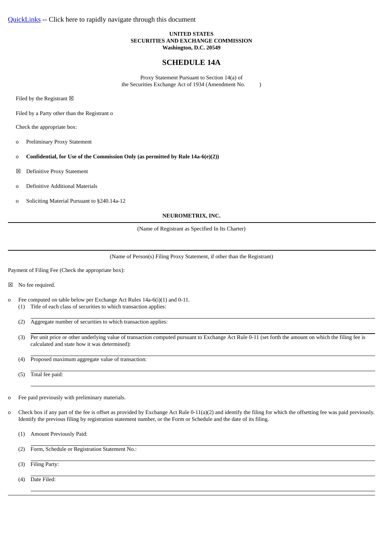## **UNITED STATES SECURITIES AND EXCHANGE COMMISSION Washington, D.C. 20549**

# **SCHEDULE 14A**

Proxy Statement Pursuant to Section 14(a) of the Securities Exchange Act of 1934 (Amendment No. )

Filed by the Registrant  $\boxtimes$ 

Filed by a Party other than the Registrant o

Check the appropriate box:

- o Preliminary Proxy Statement
- o **Confidential, for Use of the Commission Only (as permitted by Rule 14a-6(e)(2))**
- ☒ Definitive Proxy Statement
- o Definitive Additional Materials
- o Soliciting Material Pursuant to §240.14a-12

#### **NEUROMETRIX, INC.**

(Name of Registrant as Specified In Its Charter)

(Name of Person(s) Filing Proxy Statement, if other than the Registrant)

Payment of Filing Fee (Check the appropriate box):

☒ No fee required.

- o Fee computed on table below per Exchange Act Rules 14a-6(i)(1) and 0-11.
	- (1) Title of each class of securities to which transaction applies:
	- (2) Aggregate number of securities to which transaction applies:
	- (3) Per unit price or other underlying value of transaction computed pursuant to Exchange Act Rule 0-11 (set forth the amount on which the filing fee is calculated and state how it was determined):
	- (4) Proposed maximum aggregate value of transaction:
	- (5) Total fee paid:
- o Fee paid previously with preliminary materials.
- o Check box if any part of the fee is offset as provided by Exchange Act Rule 0-11(a)(2) and identify the filing for which the offsetting fee was paid previously. Identify the previous filing by registration statement number, or the Form or Schedule and the date of its filing.
	- (1) Amount Previously Paid:
	- (2) Form, Schedule or Registration Statement No.:
	- (3) Filing Party:

(4) Date Filed: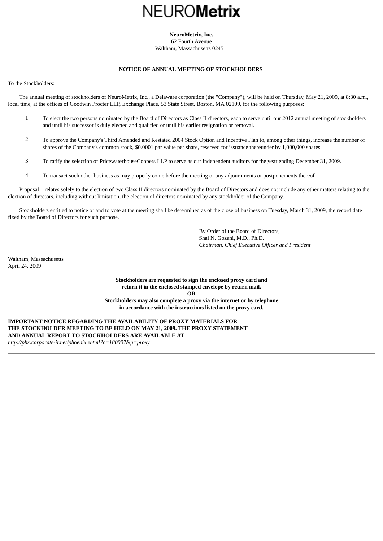# **NEUROMetrix**

**NeuroMetrix, Inc.** 62 Fourth Avenue Waltham, Massachusetts 02451

# **NOTICE OF ANNUAL MEETING OF STOCKHOLDERS**

<span id="page-1-1"></span><span id="page-1-0"></span>To the Stockholders:

 The annual meeting of stockholders of NeuroMetrix, Inc., a Delaware corporation (the "Company"), will be held on Thursday, May 21, 2009, at 8:30 a.m., local time, at the offices of Goodwin Procter LLP, Exchange Place, 53 State Street, Boston, MA 02109, for the following purposes:

- 1. To elect the two persons nominated by the Board of Directors as Class II directors, each to serve until our 2012 annual meeting of stockholders and until his successor is duly elected and qualified or until his earlier resignation or removal.
- 2. To approve the Company's Third Amended and Restated 2004 Stock Option and Incentive Plan to, among other things, increase the number of shares of the Company's common stock, \$0.0001 par value per share, reserved for issuance thereunder by 1,000,000 shares.
- 3. To ratify the selection of PricewaterhouseCoopers LLP to serve as our independent auditors for the year ending December 31, 2009.
- 4. To transact such other business as may properly come before the meeting or any adjournments or postponements thereof.

 Proposal 1 relates solely to the election of two Class II directors nominated by the Board of Directors and does not include any other matters relating to the election of directors, including without limitation, the election of directors nominated by any stockholder of the Company.

 Stockholders entitled to notice of and to vote at the meeting shall be determined as of the close of business on Tuesday, March 31, 2009, the record date fixed by the Board of Directors for such purpose.

> By Order of the Board of Directors, Shai N. Gozani, M.D., Ph.D. *Chairman, Chief Executive Officer and President*

Waltham, Massachusetts April 24, 2009

> **Stockholders are requested to sign the enclosed proxy card and return it in the enclosed stamped envelope by return mail. —OR— Stockholders may also complete a proxy via the internet or by telephone in accordance with the instructions listed on the proxy card.**

**IMPORTANT NOTICE REGARDING THE AVAILABILITY OF PROXY MATERIALS FOR THE STOCKHOLDER MEETING TO BE HELD ON MAY 21, 2009. THE PROXY STATEMENT AND ANNUAL REPORT TO STOCKHOLDERS ARE AVAILABLE AT** *http://phx.corporate-ir.net/phoenix.zhtml?c=180007&p=proxy*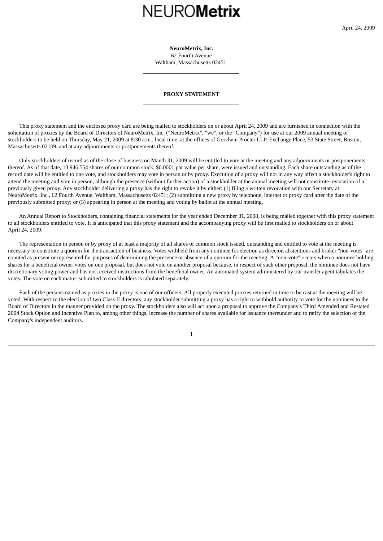# **NEUROMetrix**

**NeuroMetrix, Inc.** 62 Fourth Avenue

Waltham, Massachusetts 02451

#### **PROXY STATEMENT**

<span id="page-2-0"></span> This proxy statement and the enclosed proxy card are being mailed to stockholders on or about April 24, 2009 and are furnished in connection with the solicitation of proxies by the Board of Directors of NeuroMetrix, Inc. ("NeuroMetrix", "we", or the "Company") for use at our 2009 annual meeting of stockholders to be held on Thursday, May 21, 2009 at 8:30 a.m., local time, at the offices of Goodwin Procter LLP, Exchange Place, 53 State Street, Boston, Massachusetts 02109, and at any adjournments or postponements thereof.

 Only stockholders of record as of the close of business on March 31, 2009 will be entitled to vote at the meeting and any adjournments or postponements thereof. As of that date, 13,946,554 shares of our common stock, \$0.0001 par value per share, were issued and outstanding. Each share outstanding as of the record date will be entitled to one vote, and stockholders may vote in person or by proxy. Execution of a proxy will not in any way affect a stockholder's right to attend the meeting and vote in person, although the presence (without further action) of a stockholder at the annual meeting will not constitute revocation of a previously given proxy. Any stockholder delivering a proxy has the right to revoke it by either: (1) filing a written revocation with our Secretary at NeuroMetrix, Inc., 62 Fourth Avenue, Waltham, Massachusetts 02451; (2) submitting a new proxy by telephone, internet or proxy card after the date of the previously submitted proxy; or (3) appearing in person at the meeting and voting by ballot at the annual meeting.

 An Annual Report to Stockholders, containing financial statements for the year ended December 31, 2008, is being mailed together with this proxy statement to all stockholders entitled to vote. It is anticipated that this proxy statement and the accompanying proxy will be first mailed to stockholders on or about April 24, 2009.

 The representation in person or by proxy of at least a majority of all shares of common stock issued, outstanding and entitled to vote at the meeting is necessary to constitute a quorum for the transaction of business. Votes withheld from any nominee for election as director, abstentions and broker "non-votes" are counted as present or represented for purposes of determining the presence or absence of a quorum for the meeting. A "non-vote" occurs when a nominee holding shares for a beneficial owner votes on one proposal, but does not vote on another proposal because, in respect of such other proposal, the nominee does not have discretionary voting power and has not received instructions from the beneficial owner. An automated system administered by our transfer agent tabulates the votes. The vote on each matter submitted to stockholders is tabulated separately.

 Each of the persons named as proxies in the proxy is one of our officers. All properly executed proxies returned in time to be cast at the meeting will be voted. With respect to the election of two Class II directors, any stockholder submitting a proxy has a right to withhold authority to vote for the nominees to the Board of Directors in the manner provided on the proxy. The stockholders also will act upon a proposal to approve the Company's Third Amended and Restated 2004 Stock Option and Incentive Plan to, among other things, increase the number of shares available for issuance thereunder and to ratify the selection of the Company's independent auditors.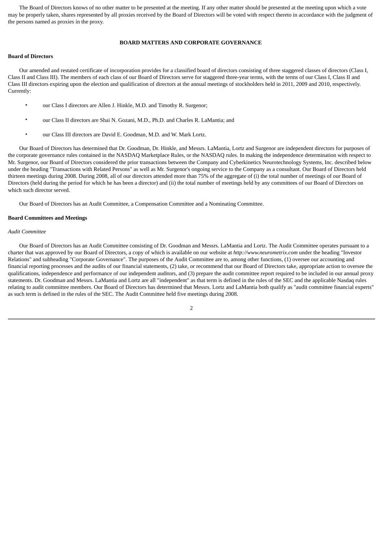The Board of Directors knows of no other matter to be presented at the meeting. If any other matter should be presented at the meeting upon which a vote may be properly taken, shares represented by all proxies received by the Board of Directors will be voted with respect thereto in accordance with the judgment of the persons named as proxies in the proxy.

## **BOARD MATTERS AND CORPORATE GOVERNANCE**

## <span id="page-3-0"></span>**Board of Directors**

 Our amended and restated certificate of incorporation provides for a classified board of directors consisting of three staggered classes of directors (Class I, Class II and Class III). The members of each class of our Board of Directors serve for staggered three-year terms, with the terms of our Class I, Class II and Class III directors expiring upon the election and qualification of directors at the annual meetings of stockholders held in 2011, 2009 and 2010, respectively. Currently:

- our Class I directors are Allen J. Hinkle, M.D. and Timothy R. Surgenor;
- our Class II directors are Shai N. Gozani, M.D., Ph.D. and Charles R. LaMantia; and
- our Class III directors are David E. Goodman, M.D. and W. Mark Lortz.

 Our Board of Directors has determined that Dr. Goodman, Dr. Hinkle, and Messrs. LaMantia, Lortz and Surgenor are independent directors for purposes of the corporate governance rules contained in the NASDAQ Marketplace Rules, or the NASDAQ rules. In making the independence determination with respect to Mr. Surgenor, our Board of Directors considered the prior transactions between the Company and Cyberkinetics Neurotechnology Systems, Inc. described below under the heading "Transactions with Related Persons" as well as Mr. Surgenor's ongoing service to the Company as a consultant. Our Board of Directors held thirteen meetings during 2008. During 2008, all of our directors attended more than 75% of the aggregate of (i) the total number of meetings of our Board of Directors (held during the period for which he has been a director) and (ii) the total number of meetings held by any committees of our Board of Directors on which such director served.

Our Board of Directors has an Audit Committee, a Compensation Committee and a Nominating Committee.

#### **Board Committees and Meetings**

#### *Audit Committee*

 Our Board of Directors has an Audit Committee consisting of Dr. Goodman and Messrs. LaMantia and Lortz. The Audit Committee operates pursuant to a charter that was approved by our Board of Directors, a copy of which is available on our website at *http://www.neurometrix.com* under the heading "Investor Relations" and subheading "Corporate Governance". The purposes of the Audit Committee are to, among other functions, (1) oversee our accounting and financial reporting processes and the audits of our financial statements, (2) take, or recommend that our Board of Directors take, appropriate action to oversee the qualifications, independence and performance of our independent auditors, and (3) prepare the audit committee report required to be included in our annual proxy statements. Dr. Goodman and Messrs. LaMantia and Lortz are all "independent" as that term is defined in the rules of the SEC and the applicable Nasdaq rules relating to audit committee members. Our Board of Directors has determined that Messrs. Lortz and LaMantia both qualify as "audit committee financial experts" as such term is defined in the rules of the SEC. The Audit Committee held five meetings during 2008.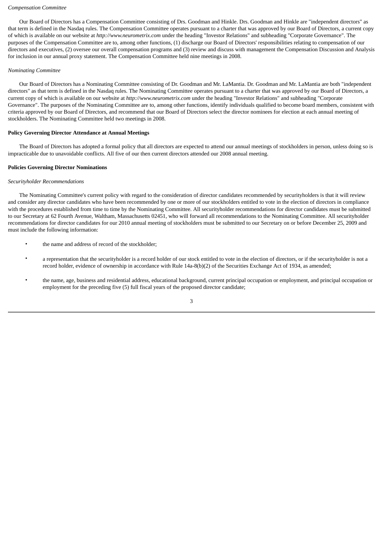#### *Compensation Committee*

 Our Board of Directors has a Compensation Committee consisting of Drs. Goodman and Hinkle. Drs. Goodman and Hinkle are "independent directors" as that term is defined in the Nasdaq rules. The Compensation Committee operates pursuant to a charter that was approved by our Board of Directors, a current copy of which is available on our website at *http://www.neurometrix.com* under the heading "Investor Relations" and subheading "Corporate Governance". The purposes of the Compensation Committee are to, among other functions, (1) discharge our Board of Directors' responsibilities relating to compensation of our directors and executives, (2) oversee our overall compensation programs and (3) review and discuss with management the Compensation Discussion and Analysis for inclusion in our annual proxy statement. The Compensation Committee held nine meetings in 2008.

## *Nominating Committee*

 Our Board of Directors has a Nominating Committee consisting of Dr. Goodman and Mr. LaMantia. Dr. Goodman and Mr. LaMantia are both "independent directors" as that term is defined in the Nasdaq rules. The Nominating Committee operates pursuant to a charter that was approved by our Board of Directors, a current copy of which is available on our website at *http://www.neurometrix.com* under the heading "Investor Relations" and subheading "Corporate Governance". The purposes of the Nominating Committee are to, among other functions, identify individuals qualified to become board members, consistent with criteria approved by our Board of Directors, and recommend that our Board of Directors select the director nominees for election at each annual meeting of stockholders. The Nominating Committee held two meetings in 2008.

## **Policy Governing Director Attendance at Annual Meetings**

 The Board of Directors has adopted a formal policy that all directors are expected to attend our annual meetings of stockholders in person, unless doing so is impracticable due to unavoidable conflicts. All five of our then current directors attended our 2008 annual meeting.

## **Policies Governing Director Nominations**

## *Securityholder Recommendations*

 The Nominating Committee's current policy with regard to the consideration of director candidates recommended by securityholders is that it will review and consider any director candidates who have been recommended by one or more of our stockholders entitled to vote in the election of directors in compliance with the procedures established from time to time by the Nominating Committee. All securityholder recommendations for director candidates must be submitted to our Secretary at 62 Fourth Avenue, Waltham, Massachusetts 02451, who will forward all recommendations to the Nominating Committee. All securityholder recommendations for director candidates for our 2010 annual meeting of stockholders must be submitted to our Secretary on or before December 25, 2009 and must include the following information:

- the name and address of record of the stockholder;
- a representation that the securityholder is a record holder of our stock entitled to vote in the election of directors, or if the securityholder is not a record holder, evidence of ownership in accordance with Rule 14a-8(b)(2) of the Securities Exchange Act of 1934, as amended;
- the name, age, business and residential address, educational background, current principal occupation or employment, and principal occupation or employment for the preceding five (5) full fiscal years of the proposed director candidate;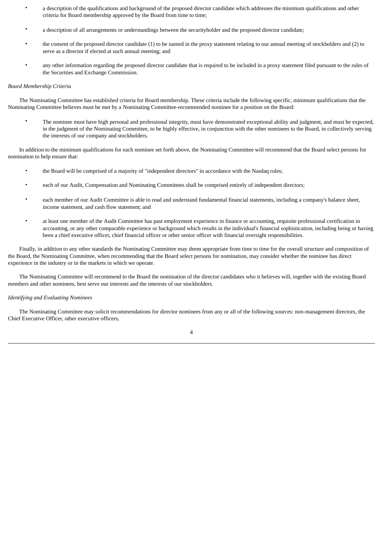- a description of the qualifications and background of the proposed director candidate which addresses the minimum qualifications and other criteria for Board membership approved by the Board from time to time;
- a description of all arrangements or understandings between the securityholder and the proposed director candidate;
- the consent of the proposed director candidate (1) to be named in the proxy statement relating to our annual meeting of stockholders and (2) to serve as a director if elected at such annual meeting; and
- any other information regarding the proposed director candidate that is required to be included in a proxy statement filed pursuant to the rules of the Securities and Exchange Commission.

#### *Board Membership Criteria*

 The Nominating Committee has established criteria for Board membership. These criteria include the following specific, minimum qualifications that the Nominating Committee believes must be met by a Nominating Committee-recommended nominee for a position on the Board:

• The nominee must have high personal and professional integrity, must have demonstrated exceptional ability and judgment, and must be expected, in the judgment of the Nominating Committee, to be highly effective, in conjunction with the other nominees to the Board, in collectively serving the interests of our company and stockholders.

 In addition to the minimum qualifications for each nominee set forth above, the Nominating Committee will recommend that the Board select persons for nomination to help ensure that:

- the Board will be comprised of a majority of "independent directors" in accordance with the Nasdaq rules;
- each of our Audit, Compensation and Nominating Committees shall be comprised entirely of independent directors;
- each member of our Audit Committee is able to read and understand fundamental financial statements, including a company's balance sheet, income statement, and cash flow statement; and
- at least one member of the Audit Committee has past employment experience in finance or accounting, requisite professional certification in accounting, or any other comparable experience or background which results in the individual's financial sophistication, including being or having been a chief executive officer, chief financial officer or other senior officer with financial oversight responsibilities.

 Finally, in addition to any other standards the Nominating Committee may deem appropriate from time to time for the overall structure and composition of the Board, the Nominating Committee, when recommending that the Board select persons for nomination, may consider whether the nominee has direct experience in the industry or in the markets in which we operate.

 The Nominating Committee will recommend to the Board the nomination of the director candidates who it believes will, together with the existing Board members and other nominees, best serve our interests and the interests of our stockholders.

## *Identifying and Evaluating Nominees*

 The Nominating Committee may solicit recommendations for director nominees from any or all of the following sources: non-management directors, the Chief Executive Officer, other executive officers,

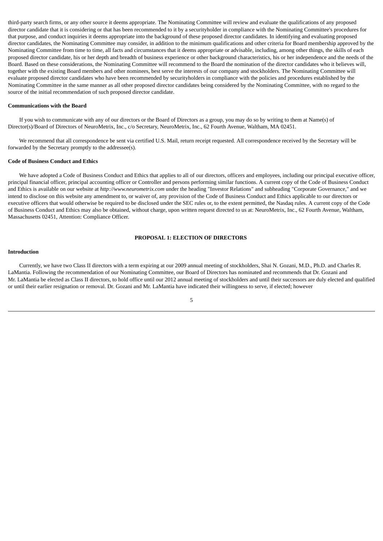third-party search firms, or any other source it deems appropriate. The Nominating Committee will review and evaluate the qualifications of any proposed director candidate that it is considering or that has been recommended to it by a securityholder in compliance with the Nominating Committee's procedures for that purpose, and conduct inquiries it deems appropriate into the background of these proposed director candidates. In identifying and evaluating proposed director candidates, the Nominating Committee may consider, in addition to the minimum qualifications and other criteria for Board membership approved by the Nominating Committee from time to time, all facts and circumstances that it deems appropriate or advisable, including, among other things, the skills of each proposed director candidate, his or her depth and breadth of business experience or other background characteristics, his or her independence and the needs of the Board. Based on these considerations, the Nominating Committee will recommend to the Board the nomination of the director candidates who it believes will, together with the existing Board members and other nominees, best serve the interests of our company and stockholders. The Nominating Committee will evaluate proposed director candidates who have been recommended by securityholders in compliance with the policies and procedures established by the Nominating Committee in the same manner as all other proposed director candidates being considered by the Nominating Committee, with no regard to the source of the initial recommendation of such proposed director candidate.

#### **Communications with the Board**

 If you wish to communicate with any of our directors or the Board of Directors as a group, you may do so by writing to them at Name(s) of Director(s)/Board of Directors of NeuroMetrix, Inc., c/o Secretary, NeuroMetrix, Inc., 62 Fourth Avenue, Waltham, MA 02451.

 We recommend that all correspondence be sent via certified U.S. Mail, return receipt requested. All correspondence received by the Secretary will be forwarded by the Secretary promptly to the addressee(s).

#### **Code of Business Conduct and Ethics**

 We have adopted a Code of Business Conduct and Ethics that applies to all of our directors, officers and employees, including our principal executive officer, principal financial officer, principal accounting officer or Controller and persons performing similar functions. A current copy of the Code of Business Conduct and Ethics is available on our website at *http://www.neurometrix.com* under the heading "Investor Relations" and subheading "Corporate Governance," and we intend to disclose on this website any amendment to, or waiver of, any provision of the Code of Business Conduct and Ethics applicable to our directors or executive officers that would otherwise be required to be disclosed under the SEC rules or, to the extent permitted, the Nasdaq rules. A current copy of the Code of Business Conduct and Ethics may also be obtained, without charge, upon written request directed to us at: NeuroMetrix, Inc., 62 Fourth Avenue, Waltham, Massachusetts 02451, Attention: Compliance Officer.

## **PROPOSAL 1: ELECTION OF DIRECTORS**

## <span id="page-6-0"></span>**Introduction**

 Currently, we have two Class II directors with a term expiring at our 2009 annual meeting of stockholders, Shai N. Gozani, M.D., Ph.D. and Charles R. LaMantia. Following the recommendation of our Nominating Committee, our Board of Directors has nominated and recommends that Dr. Gozani and Mr. LaMantia be elected as Class II directors, to hold office until our 2012 annual meeting of stockholders and until their successors are duly elected and qualified or until their earlier resignation or removal. Dr. Gozani and Mr. LaMantia have indicated their willingness to serve, if elected; however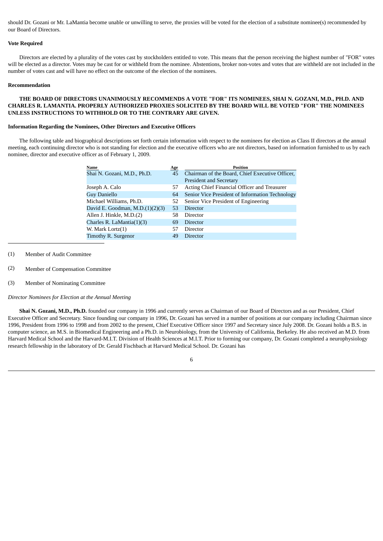should Dr. Gozani or Mr. LaMantia become unable or unwilling to serve, the proxies will be voted for the election of a substitute nominee(s) recommended by our Board of Directors.

## **Vote Required**

 Directors are elected by a plurality of the votes cast by stockholders entitled to vote. This means that the person receiving the highest number of "FOR" votes will be elected as a director. Votes may be cast for or withheld from the nominee. Abstentions, broker non-votes and votes that are withheld are not included in the number of votes cast and will have no effect on the outcome of the election of the nominees.

#### **Recommendation**

## **THE BOARD OF DIRECTORS UNANIMOUSLY RECOMMENDS A VOTE "FOR" ITS NOMINEES, SHAI N. GOZANI, M.D., PH.D. AND CHARLES R. LAMANTIA. PROPERLY AUTHORIZED PROXIES SOLICITED BY THE BOARD WILL BE VOTED "FOR" THE NOMINEES UNLESS INSTRUCTIONS TO WITHHOLD OR TO THE CONTRARY ARE GIVEN.**

## **Information Regarding the Nominees, Other Directors and Executive Officers**

 The following table and biographical descriptions set forth certain information with respect to the nominees for election as Class II directors at the annual meeting, each continuing director who is not standing for election and the executive officers who are not directors, based on information furnished to us by each nominee, director and executive officer as of February 1, 2009.

| Name                               | <b>Age</b> | <b>Position</b>                                 |
|------------------------------------|------------|-------------------------------------------------|
| Shai N. Gozani, M.D., Ph.D.        | 45         | Chairman of the Board, Chief Executive Officer, |
|                                    |            | <b>President and Secretary</b>                  |
| Joseph A. Calo                     | 57         | Acting Chief Financial Officer and Treasurer    |
| <b>Guy Daniello</b>                | 64         | Senior Vice President of Information Technology |
| Michael Williams, Ph.D.            | 52         | Senior Vice President of Engineering            |
| David E. Goodman, M.D. $(1)(2)(3)$ | 53         | Director                                        |
| Allen J. Hinkle, M.D.(2)           | 58         | Director                                        |
| Charles R. LaMantia $(1)(3)$       | 69         | Director                                        |
| W. Mark Lortz(1)                   | 57         | Director                                        |
| Timothy R. Surgenor                | 49         | Director                                        |

- (1) Member of Audit Committee
- (2) Member of Compensation Committee
- (3) Member of Nominating Committee

*Director Nominees for Election at the Annual Meeting*

 **Shai N. Gozani, M.D., Ph.D.** founded our company in 1996 and currently serves as Chairman of our Board of Directors and as our President, Chief Executive Officer and Secretary. Since founding our company in 1996, Dr. Gozani has served in a number of positions at our company including Chairman since 1996, President from 1996 to 1998 and from 2002 to the present, Chief Executive Officer since 1997 and Secretary since July 2008. Dr. Gozani holds a B.S. in computer science, an M.S. in Biomedical Engineering and a Ph.D. in Neurobiology, from the University of California, Berkeley. He also received an M.D. from Harvard Medical School and the Harvard-M.I.T. Division of Health Sciences at M.I.T. Prior to forming our company, Dr. Gozani completed a neurophysiology research fellowship in the laboratory of Dr. Gerald Fischbach at Harvard Medical School. Dr. Gozani has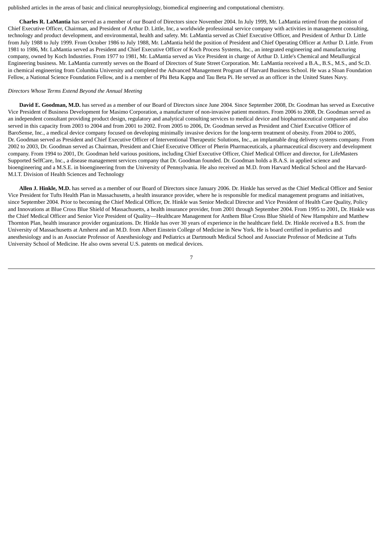published articles in the areas of basic and clinical neurophysiology, biomedical engineering and computational chemistry.

 **Charles R. LaMantia** has served as a member of our Board of Directors since November 2004. In July 1999, Mr. LaMantia retired from the position of Chief Executive Officer, Chairman, and President of Arthur D. Little, Inc, a worldwide professional service company with activities in management consulting, technology and product development, and environmental, health and safety. Mr. LaMantia served as Chief Executive Officer, and President of Arthur D. Little from July 1988 to July 1999. From October 1986 to July 1988, Mr. LaMantia held the position of President and Chief Operating Officer at Arthur D. Little. From 1981 to 1986, Mr. LaMantia served as President and Chief Executive Officer of Koch Process Systems, Inc., an integrated engineering and manufacturing company, owned by Koch Industries. From 1977 to 1981, Mr. LaMantia served as Vice President in charge of Arthur D. Little's Chemical and Metallurgical Engineering business. Mr. LaMantia currently serves on the Board of Directors of State Street Corporation. Mr. LaMantia received a B.A., B.S., M.S., and Sc.D. in chemical engineering from Columbia University and completed the Advanced Management Program of Harvard Business School. He was a Sloan Foundation Fellow, a National Science Foundation Fellow, and is a member of Phi Beta Kappa and Tau Beta Pi. He served as an officer in the United States Navy.

## *Directors Whose Terms Extend Beyond the Annual Meeting*

 **David E. Goodman, M.D.** has served as a member of our Board of Directors since June 2004. Since September 2008, Dr. Goodman has served as Executive Vice President of Business Development for Masimo Corporation, a manufacturer of non-invasive patient monitors. From 2006 to 2008, Dr. Goodman served as an independent consultant providing product design, regulatory and analytical consulting services to medical device and biopharmaceutical companies and also served in this capacity from 2003 to 2004 and from 2001 to 2002. From 2005 to 2006, Dr. Goodman served as President and Chief Executive Officer of BaroSense, Inc., a medical device company focused on developing minimally invasive devices for the long-term treatment of obesity. From 2004 to 2005, Dr. Goodman served as President and Chief Executive Officer of Interventional Therapeutic Solutions, Inc., an implantable drug delivery systems company. From 2002 to 2003, Dr. Goodman served as Chairman, President and Chief Executive Officer of Pherin Pharmaceuticals, a pharmaceutical discovery and development company. From 1994 to 2001, Dr. Goodman held various positions, including Chief Executive Officer, Chief Medical Officer and director, for LifeMasters Supported SelfCare, Inc., a disease management services company that Dr. Goodman founded. Dr. Goodman holds a B.A.S. in applied science and bioengineering and a M.S.E. in bioengineering from the University of Pennsylvania. He also received an M.D. from Harvard Medical School and the Harvard-M.I.T. Division of Health Sciences and Technology

 **Allen J. Hinkle, M.D.** has served as a member of our Board of Directors since January 2006. Dr. Hinkle has served as the Chief Medical Officer and Senior Vice President for Tufts Health Plan in Massachusetts, a health insurance provider, where he is responsible for medical management programs and initiatives, since September 2004. Prior to becoming the Chief Medical Officer, Dr. Hinkle was Senior Medical Director and Vice President of Health Care Quality, Policy and Innovations at Blue Cross Blue Shield of Massachusetts, a health insurance provider, from 2001 through September 2004. From 1995 to 2001, Dr. Hinkle was the Chief Medical Officer and Senior Vice President of Quality—Healthcare Management for Anthem Blue Cross Blue Shield of New Hampshire and Matthew Thornton Plan, health insurance provider organizations. Dr. Hinkle has over 30 years of experience in the healthcare field. Dr. Hinkle received a B.S. from the University of Massachusetts at Amherst and an M.D. from Albert Einstein College of Medicine in New York. He is board certified in pediatrics and anesthesiology and is an Associate Professor of Anesthesiology and Pediatrics at Dartmouth Medical School and Associate Professor of Medicine at Tufts University School of Medicine. He also owns several U.S. patents on medical devices.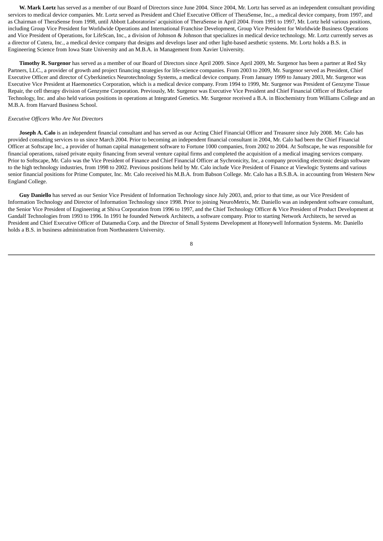**W. Mark Lortz** has served as a member of our Board of Directors since June 2004. Since 2004, Mr. Lortz has served as an independent consultant providing services to medical device companies. Mr. Lortz served as President and Chief Executive Officer of TheraSense, Inc., a medical device company, from 1997, and as Chairman of TheraSense from 1998, until Abbott Laboratories' acquisition of TheraSense in April 2004. From 1991 to 1997, Mr. Lortz held various positions, including Group Vice President for Worldwide Operations and International Franchise Development, Group Vice President for Worldwide Business Operations and Vice President of Operations, for LifeScan, Inc., a division of Johnson & Johnson that specializes in medical device technology. Mr. Lortz currently serves as a director of Cutera, Inc., a medical device company that designs and develops laser and other light-based aesthetic systems. Mr. Lortz holds a B.S. in Engineering Science from Iowa State University and an M.B.A. in Management from Xavier University.

 **Timothy R. Surgenor** has served as a member of our Board of Directors since April 2009. Since April 2009, Mr. Surgenor has been a partner at Red Sky Partners, LLC., a provider of growth and project financing strategies for life-science companies. From 2003 to 2009, Mr. Surgenor served as President, Chief Executive Officer and director of Cyberkinetics Neurotechnology Systems, a medical device company. From January 1999 to January 2003, Mr. Surgenor was Executive Vice President at Haemonetics Corporation, which is a medical device company. From 1994 to 1999, Mr. Surgenor was President of Genzyme Tissue Repair, the cell therapy division of Genzyme Corporation. Previously, Mr. Surgenor was Executive Vice President and Chief Financial Officer of BioSurface Technology, Inc. and also held various positions in operations at Integrated Genetics. Mr. Surgenor received a B.A. in Biochemistry from Williams College and an M.B.A. from Harvard Business School.

#### *Executive Officers Who Are Not Directors*

 **Joseph A. Calo** is an independent financial consultant and has served as our Acting Chief Financial Officer and Treasurer since July 2008. Mr. Calo has provided consulting services to us since March 2004. Prior to becoming an independent financial consultant in 2004, Mr. Calo had been the Chief Financial Officer at Softscape Inc., a provider of human capital management software to Fortune 1000 companies, from 2002 to 2004. At Softscape, he was responsible for financial operations, raised private equity financing from several venture capital firms and completed the acquisition of a medical imaging services company. Prior to Softscape, Mr. Calo was the Vice President of Finance and Chief Financial Officer at Sychronicity, Inc, a company providing electronic design software to the high technology industries, from 1998 to 2002. Previous positions held by Mr. Calo include Vice President of Finance at Viewlogic Systems and various senior financial positions for Prime Computer, Inc. Mr. Calo received his M.B.A. from Babson College. Mr. Calo has a B.S.B.A. in accounting from Western New England College.

 **Guy Daniello** has served as our Senior Vice President of Information Technology since July 2003, and, prior to that time, as our Vice President of Information Technology and Director of Information Technology since 1998. Prior to joining NeuroMetrix, Mr. Daniello was an independent software consultant, the Senior Vice President of Engineering at Shiva Corporation from 1996 to 1997, and the Chief Technology Officer & Vice President of Product Development at Gandalf Technologies from 1993 to 1996. In 1991 he founded Network Architects, a software company. Prior to starting Network Architects, he served as President and Chief Executive Officer of Datamedia Corp. and the Director of Small Systems Development at Honeywell Information Systems. Mr. Daniello holds a B.S. in business administration from Northeastern University.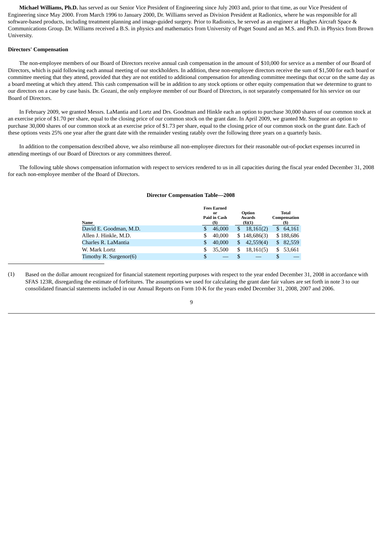**Michael Williams, Ph.D.** has served as our Senior Vice President of Engineering since July 2003 and, prior to that time, as our Vice President of Engineering since May 2000. From March 1996 to January 2000, Dr. Williams served as Division President at Radionics, where he was responsible for all software-based products, including treatment planning and image-guided surgery. Prior to Radionics, he served as an engineer at Hughes Aircraft Space & Communications Group. Dr. Williams received a B.S. in physics and mathematics from University of Puget Sound and an M.S. and Ph.D. in Physics from Brown University.

### **Directors' Compensation**

 The non-employee members of our Board of Directors receive annual cash compensation in the amount of \$10,000 for service as a member of our Board of Directors, which is paid following each annual meeting of our stockholders. In addition, these non-employee directors receive the sum of \$1,500 for each board or committee meeting that they attend, provided that they are not entitled to additional compensation for attending committee meetings that occur on the same day as a board meeting at which they attend. This cash compensation will be in addition to any stock options or other equity compensation that we determine to grant to our directors on a case by case basis. Dr. Gozani, the only employee member of our Board of Directors, is not separately compensated for his service on our Board of Directors.

 In February 2009, we granted Messrs. LaMantia and Lortz and Drs. Goodman and Hinkle each an option to purchase 30,000 shares of our common stock at an exercise price of \$1.70 per share, equal to the closing price of our common stock on the grant date. In April 2009, we granted Mr. Surgenor an option to purchase 30,000 shares of our common stock at an exercise price of \$1.73 per share, equal to the closing price of our common stock on the grant date. Each of these options vests 25% one year after the grant date with the remainder vesting ratably over the following three years on a quarterly basis.

 In addition to the compensation described above, we also reimburse all non-employee directors for their reasonable out-of-pocket expenses incurred in attending meetings of our Board of Directors or any committees thereof.

<span id="page-10-0"></span> The following table shows compensation information with respect to services rendered to us in all capacities during the fiscal year ended December 31, 2008 for each non-employee member of the Board of Directors.

#### **Director Compensation Table—2008**

|                        |                    | <b>Fees Earned</b> |                  |              |     |                              |
|------------------------|--------------------|--------------------|------------------|--------------|-----|------------------------------|
|                        | or<br>Paid in Cash |                    | Option<br>Awards |              |     | <b>Total</b><br>Compensation |
| Name                   |                    | (S)                |                  | (5)(1)       |     | (S)                          |
| David E. Goodman, M.D. | \$                 | 46,000             | S                | 18,161(2)    | \$. | 64,161                       |
| Allen J. Hinkle, M.D.  | \$                 | 40,000             |                  | \$148,686(3) |     | \$188,686                    |
| Charles R. LaMantia    | \$                 | 40,000             | S                | 42,559(4)    | S   | 82,559                       |
| W. Mark Lortz          | \$                 | 35,500             | S                | 18,161(5)    | \$  | 53,661                       |
| Timothy R. Surgenor(6) | \$                 |                    |                  |              |     |                              |

(1) Based on the dollar amount recognized for financial statement reporting purposes with respect to the year ended December 31, 2008 in accordance with SFAS 123R, disregarding the estimate of forfeitures. The assumptions we used for calculating the grant date fair values are set forth in note 3 to our consolidated financial statements included in our Annual Reports on Form 10-K for the years ended December 31, 2008, 2007 and 2006.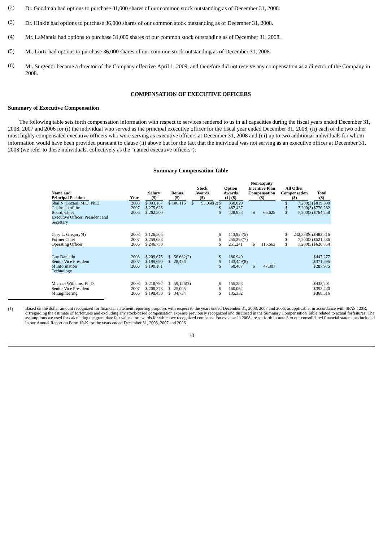- (2) Dr. Goodman had options to purchase 31,000 shares of our common stock outstanding as of December 31, 2008.
- (3) Dr. Hinkle had options to purchase 36,000 shares of our common stock outstanding as of December 31, 2008.
- (4) Mr. LaMantia had options to purchase 31,000 shares of our common stock outstanding as of December 31, 2008.
- (5) Mr. Lortz had options to purchase 36,000 shares of our common stock outstanding as of December 31, 2008.
- <span id="page-11-0"></span>(6) Mr. Surgenor became a director of the Company effective April 1, 2009, and therefore did not receive any compensation as a director of the Company in 2008.

## **COMPENSATION OF EXECUTIVE OFFICERS**

## **Summary of Executive Compensation**

<span id="page-11-1"></span> The following table sets forth compensation information with respect to services rendered to us in all capacities during the fiscal years ended December 31, 2008, 2007 and 2006 for (i) the individual who served as the principal executive officer for the fiscal year ended December 31, 2008, (ii) each of the two other most highly compensated executive officers who were serving as executive officers at December 31, 2008 and (iii) up to two additional individuals for whom information would have been provided pursuant to clause (ii) above but for the fact that the individual was not serving as an executive officer at December 31, 2008 (we refer to these individuals, collectively as the "named executive officers"):

#### **Summary Compensation Table**

| Name and<br><b>Principal Position</b>                                                                          | Year                 | Salary<br>(5)                       | <b>Bonus</b><br>(5)                      |              | Stock<br>Awards<br>(5)    | Option<br>Awards<br>$(1)$ $($ )     |              | <b>Non-Equity</b><br><b>Incentive Plan</b><br>Compensation<br>(S) |                | All Other<br>Compensation<br>$($ \$ | Total<br>$($ \$                                                  |
|----------------------------------------------------------------------------------------------------------------|----------------------|-------------------------------------|------------------------------------------|--------------|---------------------------|-------------------------------------|--------------|-------------------------------------------------------------------|----------------|-------------------------------------|------------------------------------------------------------------|
| Shai N. Gozani, M.D. Ph.D.<br>Chairman of the<br>Board, Chief<br>Executive Officer, President and<br>Secretary | 2008<br>2007<br>2006 | \$303,187<br>\$275,625<br>\$262,500 | \$106.116                                | $\mathbb{S}$ | $53,058(2)$ \$<br>S<br>\$ | 350,029<br>487,437<br>428,933       | \$           | 65,625                                                            | \$<br>\$<br>\$ |                                     | 7,200(3) \$819,590<br>7,200(3) \$770,262<br>7,200(3) \$764,258   |
| Gary L. Gregory(4)<br>Former Chief<br><b>Operating Officer</b>                                                 | 2008<br>2007<br>2006 | \$126,505<br>\$259,088<br>\$246,750 |                                          |              | S<br>\$                   | 113,923(5)<br>255,298(7)<br>251,241 | \$           | 115,663                                                           | S<br>\$<br>\$  |                                     | 242,388(6) \$482,816<br>7,200(3) \$521,586<br>7,200(3) \$620,854 |
| <b>Guy Daniello</b><br><b>Senior Vice President</b><br>of Information<br>Technology                            | 2008<br>2007<br>2006 | \$209,675<br>\$199,690<br>\$190,181 | 56,662(2)<br>S.<br>\$.<br>28,456         |              | \$<br>S<br>\$             | 180,940<br>143,449(8)<br>50,487     | $\mathbb{S}$ | 47,307                                                            |                |                                     | \$447,277<br>\$371,595<br>\$287,975                              |
| Michael Williams, Ph.D.<br>Senior Vice President<br>of Engineering                                             | 2008<br>2007<br>2006 | \$218,792<br>\$208,373<br>\$198,450 | 59,126(2)<br>S<br>25,005<br>S.<br>34,734 |              | \$                        | 155,283<br>160,062<br>135,332       |              |                                                                   |                |                                     | \$433,201<br>\$393,440<br>\$368,516                              |

(1) Based on the dollar amount recognized for financial statement reporting purposes with respect to the years ended December 31, 2008, 2007 and 2006, as applicable, in accordance with SFAS 123R, disregarding the estimate of forfeitures and excluding any stock-based compensation expense previously recognized and disclosed in the Summary Compensation Table related to actual forfeitures. The assumptions we used for calculating the grant date fair values for awards for which we recognized compensation expense in 2008 are set forth in note 3 to our consolidated financial statements included in our Annual Report on Form 10-K for the years ended December 31, 2008, 2007 and 2006.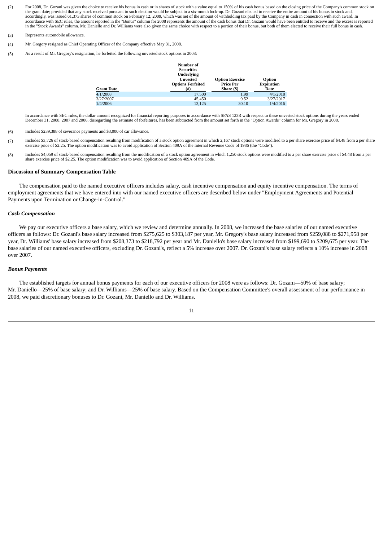- (2) For 2008, Dr. Gozani was given the choice to receive his bonus in cash or in shares of stock with a value equal to 150% of his cash bonus based on the closing price of the Company's common stock on the grant date; provided that any stock received pursuant to such election would be subject to a six-month lock-up. Dr. Gozani elected to receive the entire amount of his bonus in stock and,<br>accordingly, was issued 61,373 accordance with SEC rules, the amount reported in the "Bonus" column for 2008 represents the amount of the cash bonus that Dr. Gozani would have been entitled to receive and the excess is reported in the "Stock Awards" column. Mr. Daniello and Dr. Williams were also given the same choice with respect to a portion of their bonus, but both of them elected to receive their full bonus in cash.
- (3) Represents automobile allowance.
- (4) Mr. Gregory resigned as Chief Operating Officer of the Company effective May 31, 2008.
- (5) As a result of Mr. Gregory's resignation, he forfeited the following unvested stock options in 2008:

|                   | Number of<br><b>Securities</b><br><b>Underlying</b><br><b>Unvested</b><br><b>Options Forfeited</b> | <b>Option Exercise</b><br><b>Price Per</b> | Option<br><b>Expiration</b> |
|-------------------|----------------------------------------------------------------------------------------------------|--------------------------------------------|-----------------------------|
| <b>Grant Date</b> | (#)                                                                                                | Share (\$)                                 | Date                        |
| 4/1/2008          | 17,500                                                                                             | 1.99                                       | 4/1/2018                    |
| 3/27/2007         | 45,450                                                                                             | 9.52                                       | 3/27/2017                   |
| 1/4/2006          | 13.125                                                                                             | 30.10                                      | 1/4/2016                    |

In accordance with SEC rules, the dollar amount recognized for financial reporting purposes in accordance with SFAS 123R with respect to these unvested stock options during the years ended December 31, 2008, 2007 and 2006, disregarding the estimate of forfeitures, has been subtracted from the amount set forth in the "Option Awards" column for Mr. Gregory in 2008.

- (6) Includes \$239,388 of severance payments and \$3,000 of car allowance.
- (7) Includes \$3,726 of stock-based compensation resulting from modification of a stock option agreement in which 2,167 stock options were modified to a per share exercise price of \$4.48 from a per share exercise price of \$2.25. The option modification was to avoid application of Section 409A of the Internal Revenue Code of 1986 (the "Code").
- (8) Includes \$4,059 of stock-based compensation resulting from the modification of a stock option agreement in which 1,250 stock options were modified to a per share exercise price of \$4.48 from a per share exercise price of \$2.25. The option modification was to avoid application of Section 409A of the Code.

#### **Discussion of Summary Compensation Table**

 The compensation paid to the named executive officers includes salary, cash incentive compensation and equity incentive compensation. The terms of employment agreements that we have entered into with our named executive officers are described below under "Employment Agreements and Potential Payments upon Termination or Change-in-Control."

#### *Cash Compensation*

 We pay our executive officers a base salary, which we review and determine annually. In 2008, we increased the base salaries of our named executive officers as follows: Dr. Gozani's base salary increased from \$275,625 to \$303,187 per year, Mr. Gregory's base salary increased from \$259,088 to \$271,958 per year, Dr. Williams' base salary increased from \$208,373 to \$218,792 per year and Mr. Daniello's base salary increased from \$199,690 to \$209,675 per year. The base salaries of our named executive officers, excluding Dr. Gozani's, reflect a 5% increase over 2007. Dr. Gozani's base salary reflects a 10% increase in 2008 over 2007.

#### *Bonus Payments*

 The established targets for annual bonus payments for each of our executive officers for 2008 were as follows: Dr. Gozani—50% of base salary; Mr. Daniello—25% of base salary; and Dr. Williams—25% of base salary. Based on the Compensation Committee's overall assessment of our performance in 2008, we paid discretionary bonuses to Dr. Gozani, Mr. Daniello and Dr. Williams.

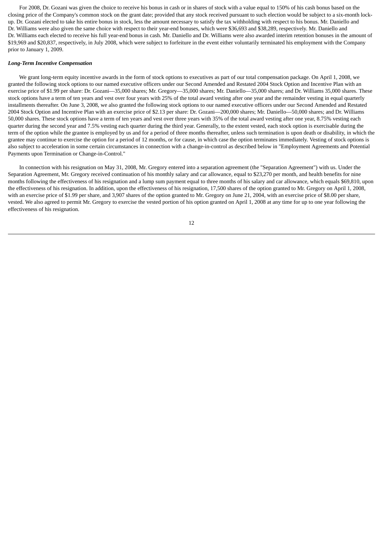For 2008, Dr. Gozani was given the choice to receive his bonus in cash or in shares of stock with a value equal to 150% of his cash bonus based on the closing price of the Company's common stock on the grant date; provided that any stock received pursuant to such election would be subject to a six-month lockup. Dr. Gozani elected to take his entire bonus in stock, less the amount necessary to satisfy the tax withholding with respect to his bonus. Mr. Daniello and Dr. Williams were also given the same choice with respect to their year-end bonuses, which were \$36,693 and \$38,289, respectively. Mr. Daniello and Dr. Williams each elected to receive his full year-end bonus in cash. Mr. Daniello and Dr. Williams were also awarded interim retention bonuses in the amount of \$19,969 and \$20,837, respectively, in July 2008, which were subject to forfeiture in the event either voluntarily terminated his employment with the Company prior to January 1, 2009.

#### *Long-Term Incentive Compensation*

 We grant long-term equity incentive awards in the form of stock options to executives as part of our total compensation package. On April 1, 2008, we granted the following stock options to our named executive officers under our Second Amended and Restated 2004 Stock Option and Incentive Plan with an exercise price of \$1.99 per share: Dr. Gozani—35,000 shares; Mr. Gregory—35,000 shares; Mr. Daniello—35,000 shares; and Dr. Williams 35,000 shares. These stock options have a term of ten years and vest over four years with 25% of the total award vesting after one year and the remainder vesting in equal quarterly installments thereafter. On June 3, 2008, we also granted the following stock options to our named executive officers under our Second Amended and Restated 2004 Stock Option and Incentive Plan with an exercise price of \$2.13 per share: Dr. Gozani—200,000 shares; Mr. Daniello—50,000 shares; and Dr. Williams 50,000 shares. These stock options have a term of ten years and vest over three years with 35% of the total award vesting after one year, 8.75% vesting each quarter during the second year and 7.5% vesting each quarter during the third year. Generally, to the extent vested, each stock option is exercisable during the term of the option while the grantee is employed by us and for a period of three months thereafter, unless such termination is upon death or disability, in which the grantee may continue to exercise the option for a period of 12 months, or for cause, in which case the option terminates immediately. Vesting of stock options is also subject to acceleration in some certain circumstances in connection with a change-in-control as described below in "Employment Agreements and Potential Payments upon Termination or Change-in-Control."

 In connection with his resignation on May 31, 2008, Mr. Gregory entered into a separation agreement (the "Separation Agreement") with us. Under the Separation Agreement, Mr. Gregory received continuation of his monthly salary and car allowance, equal to \$23,270 per month, and health benefits for nine months following the effectiveness of his resignation and a lump sum payment equal to three months of his salary and car allowance, which equals \$69,810, upon the effectiveness of his resignation. In addition, upon the effectiveness of his resignation, 17,500 shares of the option granted to Mr. Gregory on April 1, 2008, with an exercise price of \$1.99 per share, and 3,907 shares of the option granted to Mr. Gregory on June 21, 2004, with an exercise price of \$8.00 per share, vested. We also agreed to permit Mr. Gregory to exercise the vested portion of his option granted on April 1, 2008 at any time for up to one year following the effectiveness of his resignation.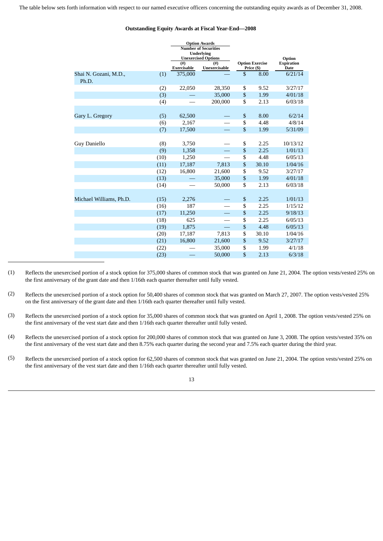<span id="page-14-0"></span>The table below sets forth information with respect to our named executive officers concerning the outstanding equity awards as of December 31, 2008.

## **Outstanding Equity Awards at Fiscal Year-End—2008**

|                                |      | <b>Option Awards</b><br><b>Number of Securities</b><br><b>Underlying</b><br><b>Unexercised Options</b> |                         |                                      | Option                           |  |
|--------------------------------|------|--------------------------------------------------------------------------------------------------------|-------------------------|--------------------------------------|----------------------------------|--|
|                                |      | $($ #)<br>Exercisable                                                                                  | $($ #)<br>Unexercisable | <b>Option Exercise</b><br>Price (\$) | <b>Expiration</b><br><b>Date</b> |  |
| Shai N. Gozani, M.D.,<br>Ph.D. | (1)  | 375,000                                                                                                |                         | \$<br>8.00                           | 6/21/14                          |  |
|                                | (2)  | 22,050                                                                                                 | 28,350                  | \$<br>9.52                           | 3/27/17                          |  |
|                                | (3)  |                                                                                                        | 35,000                  | \$<br>1.99                           | 4/01/18                          |  |
|                                | (4)  |                                                                                                        | 200,000                 | \$<br>2.13                           | 6/03/18                          |  |
|                                |      |                                                                                                        |                         |                                      |                                  |  |
| Gary L. Gregory                | (5)  | 62,500                                                                                                 |                         | \$<br>8.00                           | 6/2/14                           |  |
|                                | (6)  | 2,167                                                                                                  |                         | \$<br>4.48                           | 4/8/14                           |  |
|                                | (7)  | 17,500                                                                                                 |                         | \$<br>1.99                           | 5/31/09                          |  |
|                                |      |                                                                                                        |                         |                                      |                                  |  |
| <b>Guy Daniello</b>            | (8)  | 3,750                                                                                                  |                         | \$<br>2.25                           | 10/13/12                         |  |
|                                | (9)  | 1,358                                                                                                  |                         | \$<br>2.25                           | 1/01/13                          |  |
|                                | (10) | 1,250                                                                                                  |                         | \$<br>4.48                           | 6/05/13                          |  |
|                                | (11) | 17,187                                                                                                 | 7,813                   | \$<br>30.10                          | 1/04/16                          |  |
|                                | (12) | 16,800                                                                                                 | 21,600                  | \$<br>9.52                           | 3/27/17                          |  |
|                                | (13) |                                                                                                        | 35,000                  | \$<br>1.99                           | 4/01/18                          |  |
|                                | (14) |                                                                                                        | 50,000                  | \$<br>2.13                           | 6/03/18                          |  |
|                                |      |                                                                                                        |                         |                                      |                                  |  |
| Michael Williams, Ph.D.        | (15) | 2,276                                                                                                  |                         | \$<br>2.25                           | 1/01/13                          |  |
|                                | (16) | 187                                                                                                    |                         | \$<br>2.25                           | 1/15/12                          |  |
|                                | (17) | 11,250                                                                                                 |                         | \$<br>2.25                           | 9/18/13                          |  |
|                                | (18) | 625                                                                                                    |                         | \$<br>2.25                           | 6/05/13                          |  |
|                                | (19) | 1,875                                                                                                  |                         | \$<br>4.48                           | 6/05/13                          |  |
|                                | (20) | 17,187                                                                                                 | 7,813                   | \$<br>30.10                          | 1/04/16                          |  |
|                                | (21) | 16,800                                                                                                 | 21,600                  | \$<br>9.52                           | 3/27/17                          |  |
|                                | (22) |                                                                                                        | 35,000                  | \$<br>1.99                           | 4/1/18                           |  |
|                                | (23) |                                                                                                        | 50,000                  | \$<br>2.13                           | 6/3/18                           |  |
|                                |      |                                                                                                        |                         |                                      |                                  |  |

(1) Reflects the unexercised portion of a stock option for 375,000 shares of common stock that was granted on June 21, 2004. The option vests/vested 25% on the first anniversary of the grant date and then 1/16th each quarter thereafter until fully vested.

- (2) Reflects the unexercised portion of a stock option for 50,400 shares of common stock that was granted on March 27, 2007. The option vests/vested 25% on the first anniversary of the grant date and then 1/16th each quarter thereafter until fully vested.
- (3) Reflects the unexercised portion of a stock option for 35,000 shares of common stock that was granted on April 1, 2008. The option vests/vested 25% on the first anniversary of the vest start date and then 1/16th each quarter thereafter until fully vested.
- (4) Reflects the unexercised portion of a stock option for 200,000 shares of common stock that was granted on June 3, 2008. The option vests/vested 35% on the first anniversary of the vest start date and then 8.75% each quarter during the second year and 7.5% each quarter during the third year.
- (5) Reflects the unexercised portion of a stock option for 62,500 shares of common stock that was granted on June 21, 2004. The option vests/vested 25% on the first anniversary of the vest start date and then 1/16th each quarter thereafter until fully vested.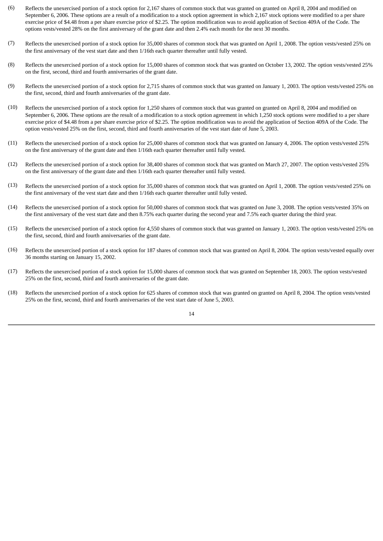- (6) Reflects the unexercised portion of a stock option for 2,167 shares of common stock that was granted on granted on April 8, 2004 and modified on September 6, 2006. These options are a result of a modification to a stock option agreement in which 2,167 stock options were modified to a per share exercise price of \$4.48 from a per share exercise price of \$2.25. The option modification was to avoid application of Section 409A of the Code. The options vests/vested 28% on the first anniversary of the grant date and then 2.4% each month for the next 30 months.
- (7) Reflects the unexercised portion of a stock option for 35,000 shares of common stock that was granted on April 1, 2008. The option vests/vested 25% on the first anniversary of the vest start date and then 1/16th each quarter thereafter until fully vested.
- (8) Reflects the unexercised portion of a stock option for 15,000 shares of common stock that was granted on October 13, 2002. The option vests/vested 25% on the first, second, third and fourth anniversaries of the grant date.
- (9) Reflects the unexercised portion of a stock option for 2,715 shares of common stock that was granted on January 1, 2003. The option vests/vested 25% on the first, second, third and fourth anniversaries of the grant date.
- (10) Reflects the unexercised portion of a stock option for 1,250 shares of common stock that was granted on granted on April 8, 2004 and modified on September 6, 2006. These options are the result of a modification to a stock option agreement in which 1,250 stock options were modified to a per share exercise price of \$4.48 from a per share exercise price of \$2.25. The option modification was to avoid the application of Section 409A of the Code. The option vests/vested 25% on the first, second, third and fourth anniversaries of the vest start date of June 5, 2003.
- (11) Reflects the unexercised portion of a stock option for 25,000 shares of common stock that was granted on January 4, 2006. The option vests/vested 25% on the first anniversary of the grant date and then 1/16th each quarter thereafter until fully vested.
- (12) Reflects the unexercised portion of a stock option for 38,400 shares of common stock that was granted on March 27, 2007. The option vests/vested 25% on the first anniversary of the grant date and then 1/16th each quarter thereafter until fully vested.
- (13) Reflects the unexercised portion of a stock option for 35,000 shares of common stock that was granted on April 1, 2008. The option vests/vested 25% on the first anniversary of the vest start date and then 1/16th each quarter thereafter until fully vested.
- (14) Reflects the unexercised portion of a stock option for 50,000 shares of common stock that was granted on June 3, 2008. The option vests/vested 35% on the first anniversary of the vest start date and then 8.75% each quarter during the second year and 7.5% each quarter during the third year.
- (15) Reflects the unexercised portion of a stock option for 4,550 shares of common stock that was granted on January 1, 2003. The option vests/vested 25% on the first, second, third and fourth anniversaries of the grant date.
- (16) Reflects the unexercised portion of a stock option for 187 shares of common stock that was granted on April 8, 2004. The option vests/vested equally over 36 months starting on January 15, 2002.
- (17) Reflects the unexercised portion of a stock option for 15,000 shares of common stock that was granted on September 18, 2003. The option vests/vested 25% on the first, second, third and fourth anniversaries of the grant date.
- (18) Reflects the unexercised portion of a stock option for 625 shares of common stock that was granted on granted on April 8, 2004. The option vests/vested 25% on the first, second, third and fourth anniversaries of the vest start date of June 5, 2003.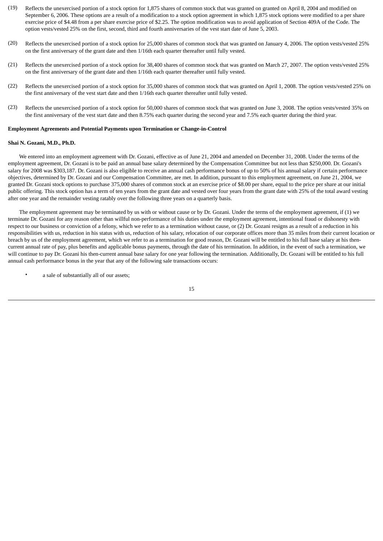- (19) Reflects the unexercised portion of a stock option for 1,875 shares of common stock that was granted on granted on April 8, 2004 and modified on September 6, 2006. These options are a result of a modification to a stock option agreement in which 1,875 stock options were modified to a per share exercise price of \$4.48 from a per share exercise price of \$2.25. The option modification was to avoid application of Section 409A of the Code. The option vests/vested 25% on the first, second, third and fourth anniversaries of the vest start date of June 5, 2003.
- (20) Reflects the unexercised portion of a stock option for 25,000 shares of common stock that was granted on January 4, 2006. The option vests/vested 25% on the first anniversary of the grant date and then 1/16th each quarter thereafter until fully vested.
- (21) Reflects the unexercised portion of a stock option for 38,400 shares of common stock that was granted on March 27, 2007. The option vests/vested 25% on the first anniversary of the grant date and then 1/16th each quarter thereafter until fully vested.
- (22) Reflects the unexercised portion of a stock option for 35,000 shares of common stock that was granted on April 1, 2008. The option vests/vested 25% on the first anniversary of the vest start date and then 1/16th each quarter thereafter until fully vested.
- (23) Reflects the unexercised portion of a stock option for 50,000 shares of common stock that was granted on June 3, 2008. The option vests/vested 35% on the first anniversary of the vest start date and then 8.75% each quarter during the second year and 7.5% each quarter during the third year.

#### **Employment Agreements and Potential Payments upon Termination or Change-in-Control**

#### **Shai N. Gozani, M.D., Ph.D.**

 We entered into an employment agreement with Dr. Gozani, effective as of June 21, 2004 and amended on December 31, 2008. Under the terms of the employment agreement, Dr. Gozani is to be paid an annual base salary determined by the Compensation Committee but not less than \$250,000. Dr. Gozani's salary for 2008 was \$303,187. Dr. Gozani is also eligible to receive an annual cash performance bonus of up to 50% of his annual salary if certain performance objectives, determined by Dr. Gozani and our Compensation Committee, are met. In addition, pursuant to this employment agreement, on June 21, 2004, we granted Dr. Gozani stock options to purchase 375,000 shares of common stock at an exercise price of \$8.00 per share, equal to the price per share at our initial public offering. This stock option has a term of ten years from the grant date and vested over four years from the grant date with 25% of the total award vesting after one year and the remainder vesting ratably over the following three years on a quarterly basis.

 The employment agreement may be terminated by us with or without cause or by Dr. Gozani. Under the terms of the employment agreement, if (1) we terminate Dr. Gozani for any reason other than willful non-performance of his duties under the employment agreement, intentional fraud or dishonesty with respect to our business or conviction of a felony, which we refer to as a termination without cause, or (2) Dr. Gozani resigns as a result of a reduction in his responsibilities with us, reduction in his status with us, reduction of his salary, relocation of our corporate offices more than 35 miles from their current location or breach by us of the employment agreement, which we refer to as a termination for good reason, Dr. Gozani will be entitled to his full base salary at his thencurrent annual rate of pay, plus benefits and applicable bonus payments, through the date of his termination. In addition, in the event of such a termination, we will continue to pay Dr. Gozani his then-current annual base salary for one year following the termination. Additionally, Dr. Gozani will be entitled to his full annual cash performance bonus in the year that any of the following sale transactions occurs:

a sale of substantially all of our assets;

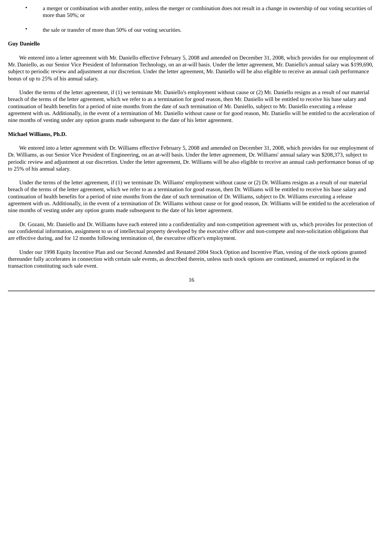- a merger or combination with another entity, unless the merger or combination does not result in a change in ownership of our voting securities of more than 50%; or
- the sale or transfer of more than 50% of our voting securities.

## **Guy Daniello**

 We entered into a letter agreement with Mr. Daniello effective February 5, 2008 and amended on December 31, 2008, which provides for our employment of Mr. Daniello, as our Senior Vice President of Information Technology, on an at-will basis. Under the letter agreement, Mr. Daniello's annual salary was \$199,690, subject to periodic review and adjustment at our discretion. Under the letter agreement, Mr. Daniello will be also eligible to receive an annual cash performance bonus of up to 25% of his annual salary.

 Under the terms of the letter agreement, if (1) we terminate Mr. Daniello's employment without cause or (2) Mr. Daniello resigns as a result of our material breach of the terms of the letter agreement, which we refer to as a termination for good reason, then Mr. Daniello will be entitled to receive his base salary and continuation of health benefits for a period of nine months from the date of such termination of Mr. Daniello, subject to Mr. Daniello executing a release agreement with us. Additionally, in the event of a termination of Mr. Daniello without cause or for good reason, Mr. Daniello will be entitled to the acceleration of nine months of vesting under any option grants made subsequent to the date of his letter agreement.

## **Michael Williams, Ph.D.**

 We entered into a letter agreement with Dr. Williams effective February 5, 2008 and amended on December 31, 2008, which provides for our employment of Dr. Williams, as our Senior Vice President of Engineering, on an at-will basis. Under the letter agreement, Dr. Williams' annual salary was \$208,373, subject to periodic review and adjustment at our discretion. Under the letter agreement, Dr. Williams will be also eligible to receive an annual cash performance bonus of up to 25% of his annual salary.

 Under the terms of the letter agreement, if (1) we terminate Dr. Williams' employment without cause or (2) Dr. Williams resigns as a result of our material breach of the terms of the letter agreement, which we refer to as a termination for good reason, then Dr. Williams will be entitled to receive his base salary and continuation of health benefits for a period of nine months from the date of such termination of Dr. Williams, subject to Dr. Williams executing a release agreement with us. Additionally, in the event of a termination of Dr. Williams without cause or for good reason, Dr. Williams will be entitled to the acceleration of nine months of vesting under any option grants made subsequent to the date of his letter agreement.

 Dr. Gozani, Mr. Daniello and Dr. Williams have each entered into a confidentiality and non-competition agreement with us, which provides for protection of our confidential information, assignment to us of intellectual property developed by the executive officer and non-compete and non-solicitation obligations that are effective during, and for 12 months following termination of, the executive officer's employment.

 Under our 1998 Equity Incentive Plan and our Second Amended and Restated 2004 Stock Option and Incentive Plan, vesting of the stock options granted thereunder fully accelerates in connection with certain sale events, as described therein, unless such stock options are continued, assumed or replaced in the transaction constituting such sale event.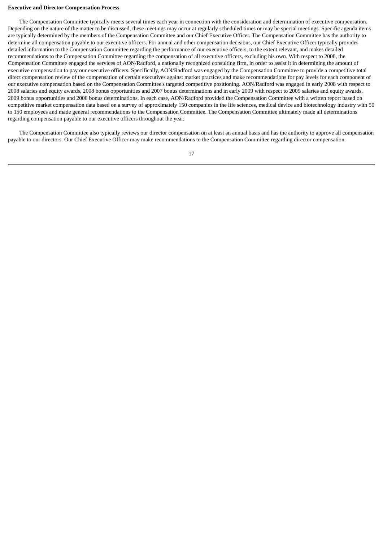#### **Executive and Director Compensation Process**

 The Compensation Committee typically meets several times each year in connection with the consideration and determination of executive compensation. Depending on the nature of the matter to be discussed, these meetings may occur at regularly scheduled times or may be special meetings. Specific agenda items are typically determined by the members of the Compensation Committee and our Chief Executive Officer. The Compensation Committee has the authority to determine all compensation payable to our executive officers. For annual and other compensation decisions, our Chief Executive Officer typically provides detailed information to the Compensation Committee regarding the performance of our executive officers, to the extent relevant, and makes detailed recommendations to the Compensation Committee regarding the compensation of all executive officers, excluding his own. With respect to 2008, the Compensation Committee engaged the services of AON/Radford, a nationally recognized consulting firm, in order to assist it in determining the amount of executive compensation to pay our executive officers. Specifically, AON/Radford was engaged by the Compensation Committee to provide a competitive total direct compensation review of the compensation of certain executives against market practices and make recommendations for pay levels for each component of our executive compensation based on the Compensation Committee's targeted competitive positioning. AON/Radford was engaged in early 2008 with respect to 2008 salaries and equity awards, 2008 bonus opportunities and 2007 bonus determinations and in early 2009 with respect to 2009 salaries and equity awards, 2009 bonus opportunities and 2008 bonus determinations. In each case, AON/Radford provided the Compensation Committee with a written report based on competitive market compensation data based on a survey of approximately 150 companies in the life sciences, medical device and biotechnology industry with 50 to 150 employees and made general recommendations to the Compensation Committee. The Compensation Committee ultimately made all determinations regarding compensation payable to our executive officers throughout the year.

 The Compensation Committee also typically reviews our director compensation on at least an annual basis and has the authority to approve all compensation payable to our directors. Our Chief Executive Officer may make recommendations to the Compensation Committee regarding director compensation.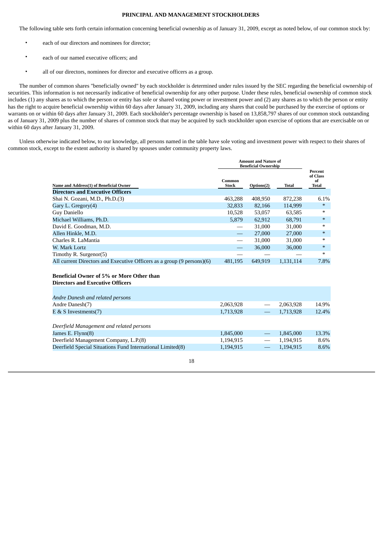## **PRINCIPAL AND MANAGEMENT STOCKHOLDERS**

<span id="page-19-0"></span>The following table sets forth certain information concerning beneficial ownership as of January 31, 2009, except as noted below, of our common stock by:

- each of our directors and nominees for director;
- each of our named executive officers; and
- all of our directors, nominees for director and executive officers as a group.

 The number of common shares "beneficially owned" by each stockholder is determined under rules issued by the SEC regarding the beneficial ownership of securities. This information is not necessarily indicative of beneficial ownership for any other purpose. Under these rules, beneficial ownership of common stock includes (1) any shares as to which the person or entity has sole or shared voting power or investment power and (2) any shares as to which the person or entity has the right to acquire beneficial ownership within 60 days after January 31, 2009, including any shares that could be purchased by the exercise of options or warrants on or within 60 days after January 31, 2009. Each stockholder's percentage ownership is based on 13,858,797 shares of our common stock outstanding as of January 31, 2009 plus the number of shares of common stock that may be acquired by such stockholder upon exercise of options that are exercisable on or within 60 days after January 31, 2009.

 Unless otherwise indicated below, to our knowledge, all persons named in the table have sole voting and investment power with respect to their shares of common stock, except to the extent authority is shared by spouses under community property laws.

|                                                                                             | <b>Amount and Nature of</b><br><b>Beneficial Ownership</b> |            |              |                                           |
|---------------------------------------------------------------------------------------------|------------------------------------------------------------|------------|--------------|-------------------------------------------|
| Name and Address(1) of Beneficial Owner                                                     | Common<br><b>Stock</b>                                     | Options(2) | <b>Total</b> | Percent<br>of Class<br>of<br><b>Total</b> |
| <b>Directors and Executive Officers</b>                                                     |                                                            |            |              |                                           |
| Shai N. Gozani, M.D., Ph.D.(3)                                                              | 463,288                                                    | 408,950    | 872,238      | 6.1%                                      |
| Gary L. Gregory(4)                                                                          | 32,833                                                     | 82,166     | 114,999      | $\ast$                                    |
| Guy Daniello                                                                                | 10,528                                                     | 53,057     | 63,585       | $\ast$                                    |
| Michael Williams, Ph.D.                                                                     | 5,879                                                      | 62,912     | 68,791       | $\ast$                                    |
| David E. Goodman, M.D.                                                                      |                                                            | 31,000     | 31,000       | $\ast$                                    |
| Allen Hinkle, M.D.                                                                          |                                                            | 27,000     | 27,000       | $\ast$                                    |
| Charles R. LaMantia                                                                         |                                                            | 31,000     | 31,000       | $\ast$                                    |
| W. Mark Lortz                                                                               |                                                            | 36,000     | 36,000       | $\ast$                                    |
| Timothy R. Surgenor(5)                                                                      |                                                            |            |              | $\ast$                                    |
| All current Directors and Executive Officers as a group (9 persons)(6)                      | 481,195                                                    | 649,919    | 1,131,114    | 7.8%                                      |
| <b>Beneficial Owner of 5% or More Other than</b><br><b>Directors and Executive Officers</b> |                                                            |            |              |                                           |
| Andre Danesh and related persons                                                            |                                                            |            |              |                                           |
| Andre Danesh(7)                                                                             | 2,063,928                                                  |            | 2,063,928    | 14.9%                                     |
| $E \& S$ Investments(7)                                                                     | 1,713,928                                                  |            | 1,713,928    | 12.4%                                     |
|                                                                                             |                                                            |            |              |                                           |
| Deerfield Management and related persons                                                    |                                                            |            |              |                                           |
| James E. Flynn(8)                                                                           | 1,845,000                                                  |            | 1,845,000    | 13.3%                                     |
| Deerfield Management Company, L.P.(8)                                                       | 1,194,915                                                  |            | 1,194,915    | 8.6%                                      |
| Deerfield Special Situations Fund International Limited(8)                                  | 1,194,915                                                  |            | 1,194,915    | 8.6%                                      |
|                                                                                             |                                                            |            |              |                                           |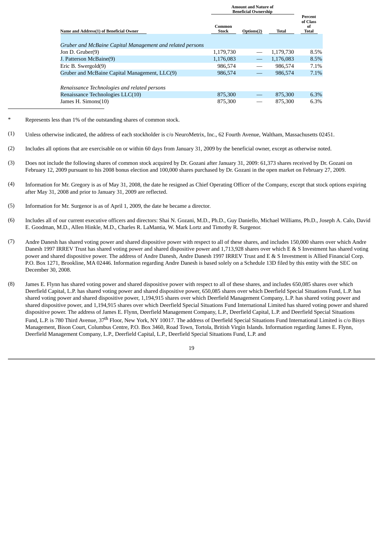|                                                           | <b>Amount and Nature of</b><br><b>Beneficial Ownership</b> |            |           |                                    |  |
|-----------------------------------------------------------|------------------------------------------------------------|------------|-----------|------------------------------------|--|
| Name and Address(1) of Beneficial Owner                   | Common<br>Stock                                            | Options(2) | Total     | Percent<br>of Class<br>of<br>Total |  |
| Gruber and McBaine Capital Management and related persons |                                                            |            |           |                                    |  |
| Jon D. Gruber(9)                                          | 1,179,730                                                  |            | 1,179,730 | 8.5%                               |  |
| J. Patterson McBaine(9)                                   | 1,176,083                                                  |            | 1.176.083 | 8.5%                               |  |
| Eric B. Swergold(9)                                       | 986.574                                                    |            | 986.574   | 7.1%                               |  |
| Gruber and McBaine Capital Management, LLC(9)             | 986,574                                                    |            | 986,574   | 7.1%                               |  |
| Renaissance Technologies and related persons              |                                                            |            |           |                                    |  |
| Renaissance Technologies LLC(10)                          | 875,300                                                    |            | 875,300   | 6.3%                               |  |
| James H. Simons(10)                                       | 875,300                                                    |            | 875,300   | 6.3%                               |  |

- Represents less than 1% of the outstanding shares of common stock.
- (1) Unless otherwise indicated, the address of each stockholder is c/o NeuroMetrix, Inc., 62 Fourth Avenue, Waltham, Massachusetts 02451.
- (2) Includes all options that are exercisable on or within 60 days from January 31, 2009 by the beneficial owner, except as otherwise noted.
- (3) Does not include the following shares of common stock acquired by Dr. Gozani after January 31, 2009: 61,373 shares received by Dr. Gozani on February 12, 2009 pursuant to his 2008 bonus election and 100,000 shares purchased by Dr. Gozani in the open market on February 27, 2009.
- (4) Information for Mr. Gregory is as of May 31, 2008, the date he resigned as Chief Operating Officer of the Company, except that stock options expiring after May 31, 2008 and prior to January 31, 2009 are reflected.
- (5) Information for Mr. Surgenor is as of April 1, 2009, the date he became a director.
- (6) Includes all of our current executive officers and directors: Shai N. Gozani, M.D., Ph.D., Guy Daniello, Michael Williams, Ph.D., Joseph A. Calo, David E. Goodman, M.D., Allen Hinkle, M.D., Charles R. LaMantia, W. Mark Lortz and Timothy R. Surgenor.
- (7) Andre Danesh has shared voting power and shared dispositive power with respect to all of these shares, and includes 150,000 shares over which Andre Danesh 1997 IRREV Trust has shared voting power and shared dispositive power and 1,713,928 shares over which E & S Investment has shared voting power and shared dispositive power. The address of Andre Danesh, Andre Danesh 1997 IRREV Trust and E & S Investment is Allied Financial Corp. P.O. Box 1271, Brookline, MA 02446. Information regarding Andre Danesh is based solely on a Schedule 13D filed by this entity with the SEC on December 30, 2008.
- (8) James E. Flynn has shared voting power and shared dispositive power with respect to all of these shares, and includes 650,085 shares over which Deerfield Capital, L.P. has shared voting power and shared dispositive power, 650,085 shares over which Deerfield Special Situations Fund, L.P. has shared voting power and shared dispositive power, 1,194,915 shares over which Deerfield Management Company, L.P. has shared voting power and shared dispositive power, and 1,194,915 shares over which Deerfield Special Situations Fund International Limited has shared voting power and shared dispositive power. The address of James E. Flynn, Deerfield Management Company, L.P., Deerfield Capital, L.P. and Deerfield Special Situations Fund, L.P. is 780 Third Avenue, 37<sup>th</sup> Floor, New York, NY 10017. The address of Deerfield Special Situations Fund International Limited is c/o Bisys Management, Bison Court, Columbus Centre, P.O. Box 3460, Road Town, Tortola, British Virgin Islands. Information regarding James E. Flynn, Deerfield Management Company, L.P., Deerfield Capital, L.P., Deerfield Special Situations Fund, L.P. and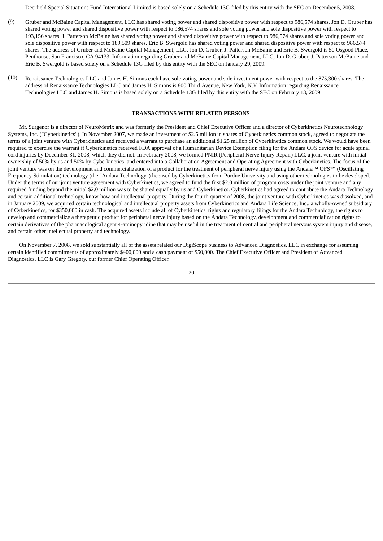Deerfield Special Situations Fund International Limited is based solely on a Schedule 13G filed by this entity with the SEC on December 5, 2008.

- (9) Gruber and McBaine Capital Management, LLC has shared voting power and shared dispositive power with respect to 986,574 shares. Jon D. Gruber has shared voting power and shared dispositive power with respect to 986,574 shares and sole voting power and sole dispositive power with respect to 193,156 shares. J. Patterson McBaine has shared voting power and shared dispositive power with respect to 986,574 shares and sole voting power and sole dispositive power with respect to 189,509 shares. Eric B. Swergold has shared voting power and shared dispositive power with respect to 986,574 shares. The address of Gruber and McBaine Capital Management, LLC, Jon D. Gruber, J. Patterson McBaine and Eric B. Swergold is 50 Osgood Place, Penthouse, San Francisco, CA 94133. Information regarding Gruber and McBaine Capital Management, LLC, Jon D. Gruber, J. Patterson McBaine and Eric B. Swergold is based solely on a Schedule 13G filed by this entity with the SEC on January 29, 2009.
- (10) Renaissance Technologies LLC and James H. Simons each have sole voting power and sole investment power with respect to the 875,300 shares. The address of Renaissance Technologies LLC and James H. Simons is 800 Third Avenue, New York, N.Y. Information regarding Renaissance Technologies LLC and James H. Simons is based solely on a Schedule 13G filed by this entity with the SEC on February 13, 2009.

#### **TRANSACTIONS WITH RELATED PERSONS**

<span id="page-21-0"></span> Mr. Surgenor is a director of NeuroMetrix and was formerly the President and Chief Executive Officer and a director of Cyberkinetics Neurotechnology Systems, Inc. ("Cyberkinetics"). In November 2007, we made an investment of \$2.5 million in shares of Cyberkinetics common stock, agreed to negotiate the terms of a joint venture with Cyberkinetics and received a warrant to purchase an additional \$1.25 million of Cyberkinetics common stock. We would have been required to exercise the warrant if Cyberkinetics received FDA approval of a Humanitarian Device Exemption filing for the Andara OFS device for acute spinal cord injuries by December 31, 2008, which they did not. In February 2008, we formed PNIR (Peripheral Nerve Injury Repair) LLC, a joint venture with initial ownership of 50% by us and 50% by Cyberkinetics, and entered into a Collaboration Agreement and Operating Agreement with Cyberkinetics. The focus of the joint venture was on the development and commercialization of a product for the treatment of peripheral nerve injury using the Andara™ OFS™ (Oscillating Frequency Stimulation) technology (the "Andara Technology") licensed by Cyberkinetics from Purdue University and using other technologies to be developed. Under the terms of our joint venture agreement with Cyberkinetics, we agreed to fund the first \$2.0 million of program costs under the joint venture and any required funding beyond the initial \$2.0 million was to be shared equally by us and Cyberkinetics. Cyberkinetics had agreed to contribute the Andara Technology and certain additional technology, know-how and intellectual property. During the fourth quarter of 2008, the joint venture with Cyberkinetics was dissolved, and in January 2009, we acquired certain technological and intellectual property assets from Cyberkinetics and Andara Life Science, Inc., a wholly-owned subsidiary of Cyberkinetics, for \$350,000 in cash. The acquired assets include all of Cyberkinetics' rights and regulatory filings for the Andara Technology, the rights to develop and commercialize a therapeutic product for peripheral nerve injury based on the Andara Technology, development and commercialization rights to certain derivatives of the pharmacological agent 4-aminopyridine that may be useful in the treatment of central and peripheral nervous system injury and disease, and certain other intellectual property and technology.

 On November 7, 2008, we sold substantially all of the assets related our DigiScope business to Advanced Diagnostics, LLC in exchange for assuming certain identified commitments of approximately \$400,000 and a cash payment of \$50,000. The Chief Executive Officer and President of Advanced Diagnostics, LLC is Gary Gregory, our former Chief Operating Officer.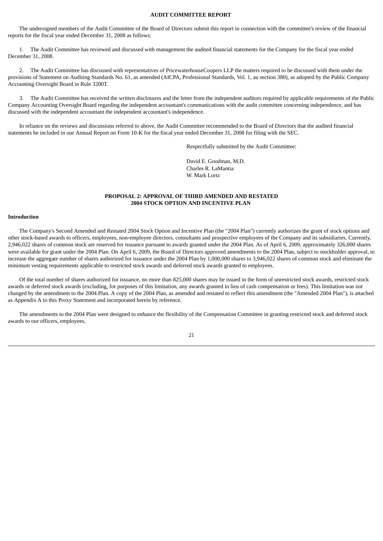#### **AUDIT COMMITTEE REPORT**

<span id="page-22-0"></span> The undersigned members of the Audit Committee of the Board of Directors submit this report in connection with the committee's review of the financial reports for the fiscal year ended December 31, 2008 as follows:

 1. The Audit Committee has reviewed and discussed with management the audited financial statements for the Company for the fiscal year ended December 31, 2008.

 2. The Audit Committee has discussed with representatives of PricewaterhouseCoopers LLP the matters required to be discussed with them under the provisions of Statement on Auditing Standards No. 61, as amended (AICPA, Professional Standards, Vol. 1, au section 380), as adopted by the Public Company Accounting Oversight Board in Rule 3200T.

 3. The Audit Committee has received the written disclosures and the letter from the independent auditors required by applicable requirements of the Public Company Accounting Oversight Board regarding the independent accountant's communications with the audit committee concerning independence, and has discussed with the independent accountant the independent accountant's independence.

 In reliance on the reviews and discussions referred to above, the Audit Committee recommended to the Board of Directors that the audited financial statements be included in our Annual Report on Form 10-K for the fiscal year ended December 31, 2008 for filing with the SEC.

Respectfully submitted by the Audit Committee:

David E. Goodman, M.D. Charles R. LaMantia W. Mark Lortz

## **PROPOSAL 2: APPROVAL OF THIRD AMENDED AND RESTATED 2004 STOCK OPTION AND INCENTIVE PLAN**

## <span id="page-22-1"></span>**Introduction**

 The Company's Second Amended and Restated 2004 Stock Option and Incentive Plan (the "2004 Plan") currently authorizes the grant of stock options and other stock-based awards to officers, employees, non-employee directors, consultants and prospective employees of the Company and its subsidiaries. Currently, 2,946,022 shares of common stock are reserved for issuance pursuant to awards granted under the 2004 Plan. As of April 6, 2009, approximately 326,000 shares were available for grant under the 2004 Plan. On April 6, 2009, the Board of Directors approved amendments to the 2004 Plan, subject to stockholder approval, to increase the aggregate number of shares authorized for issuance under the 2004 Plan by 1,000,000 shares to 3,946,022 shares of common stock and eliminate the minimum vesting requirements applicable to restricted stock awards and deferred stock awards granted to employees.

 Of the total number of shares authorized for issuance, no more than 825,000 shares may be issued in the form of unrestricted stock awards, restricted stock awards or deferred stock awards (excluding, for purposes of this limitation, any awards granted in lieu of cash compensation or fees). This limitation was not changed by the amendment to the 2004 Plan. A copy of the 2004 Plan, as amended and restated to reflect this amendment (the "Amended 2004 Plan"), is attached as Appendix A to this Proxy Statement and incorporated herein by reference.

 The amendments to the 2004 Plan were designed to enhance the flexibility of the Compensation Committee in granting restricted stock and deferred stock awards to our officers, employees,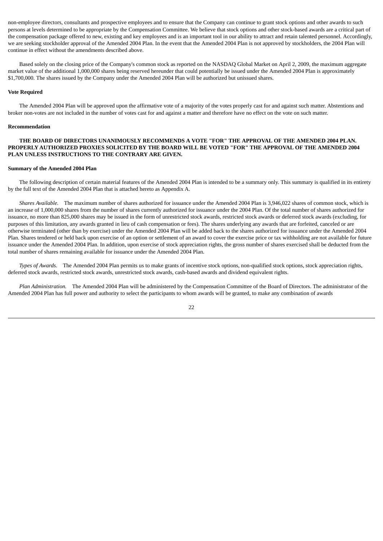non-employee directors, consultants and prospective employees and to ensure that the Company can continue to grant stock options and other awards to such persons at levels determined to be appropriate by the Compensation Committee. We believe that stock options and other stock-based awards are a critical part of the compensation package offered to new, existing and key employees and is an important tool in our ability to attract and retain talented personnel. Accordingly, we are seeking stockholder approval of the Amended 2004 Plan. In the event that the Amended 2004 Plan is not approved by stockholders, the 2004 Plan will continue in effect without the amendments described above.

 Based solely on the closing price of the Company's common stock as reported on the NASDAQ Global Market on April 2, 2009, the maximum aggregate market value of the additional 1,000,000 shares being reserved hereunder that could potentially be issued under the Amended 2004 Plan is approximately \$1,700,000. The shares issued by the Company under the Amended 2004 Plan will be authorized but unissued shares.

#### **Vote Required**

 The Amended 2004 Plan will be approved upon the affirmative vote of a majority of the votes properly cast for and against such matter. Abstentions and broker non-votes are not included in the number of votes cast for and against a matter and therefore have no effect on the vote on such matter.

#### **Recommendation**

## **THE BOARD OF DIRECTORS UNANIMOUSLY RECOMMENDS A VOTE "FOR" THE APPROVAL OF THE AMENDED 2004 PLAN. PROPERLY AUTHORIZED PROXIES SOLICITED BY THE BOARD WILL BE VOTED "FOR" THE APPROVAL OF THE AMENDED 2004 PLAN UNLESS INSTRUCTIONS TO THE CONTRARY ARE GIVEN.**

#### **Summary of the Amended 2004 Plan**

 The following description of certain material features of the Amended 2004 Plan is intended to be a summary only. This summary is qualified in its entirety by the full text of the Amended 2004 Plan that is attached hereto as Appendix A.

 *Shares Available.* The maximum number of shares authorized for issuance under the Amended 2004 Plan is 3,946,022 shares of common stock, which is an increase of 1,000,000 shares from the number of shares currently authorized for issuance under the 2004 Plan. Of the total number of shares authorized for issuance, no more than 825,000 shares may be issued in the form of unrestricted stock awards, restricted stock awards or deferred stock awards (excluding, for purposes of this limitation, any awards granted in lieu of cash compensation or fees). The shares underlying any awards that are forfeited, canceled or are otherwise terminated (other than by exercise) under the Amended 2004 Plan will be added back to the shares authorized for issuance under the Amended 2004 Plan. Shares tendered or held back upon exercise of an option or settlement of an award to cover the exercise price or tax withholding are not available for future issuance under the Amended 2004 Plan. In addition, upon exercise of stock appreciation rights, the gross number of shares exercised shall be deducted from the total number of shares remaining available for issuance under the Amended 2004 Plan.

 *Types of Awards.* The Amended 2004 Plan permits us to make grants of incentive stock options, non-qualified stock options, stock appreciation rights, deferred stock awards, restricted stock awards, unrestricted stock awards, cash-based awards and dividend equivalent rights.

 *Plan Administration.* The Amended 2004 Plan will be administered by the Compensation Committee of the Board of Directors. The administrator of the Amended 2004 Plan has full power and authority to select the participants to whom awards will be granted, to make any combination of awards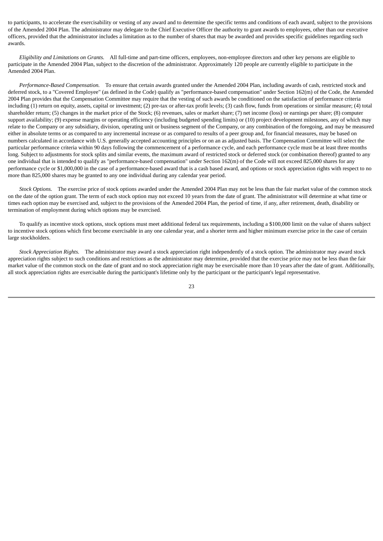to participants, to accelerate the exercisability or vesting of any award and to determine the specific terms and conditions of each award, subject to the provisions of the Amended 2004 Plan. The administrator may delegate to the Chief Executive Officer the authority to grant awards to employees, other than our executive officers, provided that the administrator includes a limitation as to the number of shares that may be awarded and provides specific guidelines regarding such awards.

 *Eligibility and Limitations on Grants.* All full-time and part-time officers, employees, non-employee directors and other key persons are eligible to participate in the Amended 2004 Plan, subject to the discretion of the administrator. Approximately 120 people are currently eligible to participate in the Amended 2004 Plan.

 *Performance-Based Compensation.* To ensure that certain awards granted under the Amended 2004 Plan, including awards of cash, restricted stock and deferred stock, to a "Covered Employee" (as defined in the Code) qualify as "performance-based compensation" under Section 162(m) of the Code, the Amended 2004 Plan provides that the Compensation Committee may require that the vesting of such awards be conditioned on the satisfaction of performance criteria including (1) return on equity, assets, capital or investment; (2) pre-tax or after-tax profit levels; (3) cash flow, funds from operations or similar measure; (4) total shareholder return; (5) changes in the market price of the Stock; (6) revenues, sales or market share; (7) net income (loss) or earnings per share; (8) computer support availability; (9) expense margins or operating efficiency (including budgeted spending limits) or (10) project development milestones, any of which may relate to the Company or any subsidiary, division, operating unit or business segment of the Company, or any combination of the foregoing, and may be measured either in absolute terms or as compared to any incremental increase or as compared to results of a peer group and, for financial measures, may be based on numbers calculated in accordance with U.S. generally accepted accounting principles or on an as adjusted basis. The Compensation Committee will select the particular performance criteria within 90 days following the commencement of a performance cycle, and each performance cycle must be at least three months long. Subject to adjustments for stock splits and similar events, the maximum award of restricted stock or deferred stock (or combination thereof) granted to any one individual that is intended to qualify as "performance-based compensation" under Section 162(m) of the Code will not exceed 825,000 shares for any performance cycle or \$1,000,000 in the case of a performance-based award that is a cash based award, and options or stock appreciation rights with respect to no more than 825,000 shares may be granted to any one individual during any calendar year period.

 *Stock Options.* The exercise price of stock options awarded under the Amended 2004 Plan may not be less than the fair market value of the common stock on the date of the option grant. The term of each stock option may not exceed 10 years from the date of grant. The administrator will determine at what time or times each option may be exercised and, subject to the provisions of the Amended 2004 Plan, the period of time, if any, after retirement, death, disability or termination of employment during which options may be exercised.

 To qualify as incentive stock options, stock options must meet additional federal tax requirements, including a \$100,000 limit on the value of shares subject to incentive stock options which first become exercisable in any one calendar year, and a shorter term and higher minimum exercise price in the case of certain large stockholders.

 *Stock Appreciation Rights.* The administrator may award a stock appreciation right independently of a stock option. The administrator may award stock appreciation rights subject to such conditions and restrictions as the administrator may determine, provided that the exercise price may not be less than the fair market value of the common stock on the date of grant and no stock appreciation right may be exercisable more than 10 years after the date of grant. Additionally, all stock appreciation rights are exercisable during the participant's lifetime only by the participant or the participant's legal representative.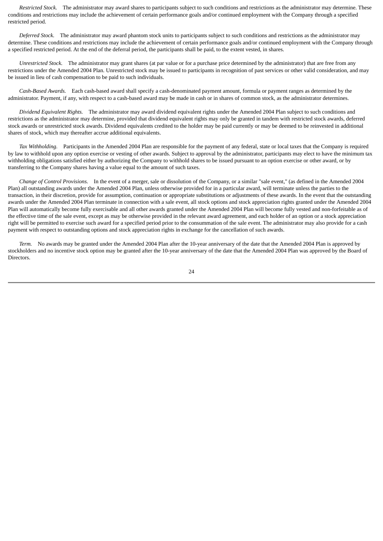*Restricted Stock.* The administrator may award shares to participants subject to such conditions and restrictions as the administrator may determine. These conditions and restrictions may include the achievement of certain performance goals and/or continued employment with the Company through a specified restricted period.

 *Deferred Stock.* The administrator may award phantom stock units to participants subject to such conditions and restrictions as the administrator may determine. These conditions and restrictions may include the achievement of certain performance goals and/or continued employment with the Company through a specified restricted period. At the end of the deferral period, the participants shall be paid, to the extent vested, in shares.

 *Unrestricted Stock.* The administrator may grant shares (at par value or for a purchase price determined by the administrator) that are free from any restrictions under the Amended 2004 Plan. Unrestricted stock may be issued to participants in recognition of past services or other valid consideration, and may be issued in lieu of cash compensation to be paid to such individuals.

 *Cash-Based Awards.* Each cash-based award shall specify a cash-denominated payment amount, formula or payment ranges as determined by the administrator. Payment, if any, with respect to a cash-based award may be made in cash or in shares of common stock, as the administrator determines.

 *Dividend Equivalent Rights.* The administrator may award dividend equivalent rights under the Amended 2004 Plan subject to such conditions and restrictions as the administrator may determine, provided that dividend equivalent rights may only be granted in tandem with restricted stock awards, deferred stock awards or unrestricted stock awards. Dividend equivalents credited to the holder may be paid currently or may be deemed to be reinvested in additional shares of stock, which may thereafter accrue additional equivalents.

 *Tax Withholding.* Participants in the Amended 2004 Plan are responsible for the payment of any federal, state or local taxes that the Company is required by law to withhold upon any option exercise or vesting of other awards. Subject to approval by the administrator, participants may elect to have the minimum tax withholding obligations satisfied either by authorizing the Company to withhold shares to be issued pursuant to an option exercise or other award, or by transferring to the Company shares having a value equal to the amount of such taxes.

 *Change of Control Provisions.* In the event of a merger, sale or dissolution of the Company, or a similar "sale event," (as defined in the Amended 2004 Plan) all outstanding awards under the Amended 2004 Plan, unless otherwise provided for in a particular award, will terminate unless the parties to the transaction, in their discretion, provide for assumption, continuation or appropriate substitutions or adjustments of these awards. In the event that the outstanding awards under the Amended 2004 Plan terminate in connection with a sale event, all stock options and stock appreciation rights granted under the Amended 2004 Plan will automatically become fully exercisable and all other awards granted under the Amended 2004 Plan will become fully vested and non-forfeitable as of the effective time of the sale event, except as may be otherwise provided in the relevant award agreement, and each holder of an option or a stock appreciation right will be permitted to exercise such award for a specified period prior to the consummation of the sale event. The administrator may also provide for a cash payment with respect to outstanding options and stock appreciation rights in exchange for the cancellation of such awards.

 *Term.* No awards may be granted under the Amended 2004 Plan after the 10-year anniversary of the date that the Amended 2004 Plan is approved by stockholders and no incentive stock option may be granted after the 10-year anniversary of the date that the Amended 2004 Plan was approved by the Board of Directors.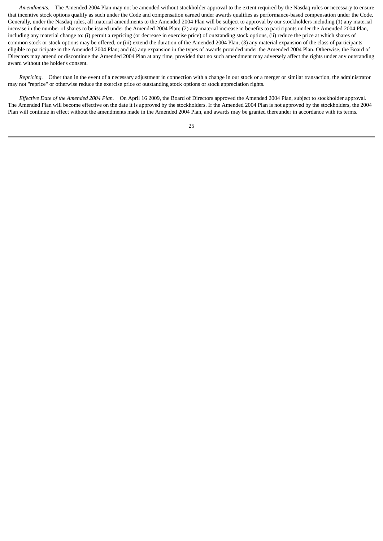*Amendments.* The Amended 2004 Plan may not be amended without stockholder approval to the extent required by the Nasdaq rules or necessary to ensure that incentive stock options qualify as such under the Code and compensation earned under awards qualifies as performance-based compensation under the Code. Generally, under the Nasdaq rules, all material amendments to the Amended 2004 Plan will be subject to approval by our stockholders including (1) any material increase in the number of shares to be issued under the Amended 2004 Plan; (2) any material increase in benefits to participants under the Amended 2004 Plan, including any material change to: (i) permit a repricing (or decrease in exercise price) of outstanding stock options, (ii) reduce the price at which shares of common stock or stock options may be offered, or (iii) extend the duration of the Amended 2004 Plan; (3) any material expansion of the class of participants eligible to participate in the Amended 2004 Plan; and (4) any expansion in the types of awards provided under the Amended 2004 Plan. Otherwise, the Board of Directors may amend or discontinue the Amended 2004 Plan at any time, provided that no such amendment may adversely affect the rights under any outstanding award without the holder's consent.

 *Repricing.* Other than in the event of a necessary adjustment in connection with a change in our stock or a merger or similar transaction, the administrator may not "reprice" or otherwise reduce the exercise price of outstanding stock options or stock appreciation rights.

 *Effective Date of the Amended 2004 Plan.* On April 16 2009, the Board of Directors approved the Amended 2004 Plan, subject to stockholder approval. The Amended Plan will become effective on the date it is approved by the stockholders. If the Amended 2004 Plan is not approved by the stockholders, the 2004 Plan will continue in effect without the amendments made in the Amended 2004 Plan, and awards may be granted thereunder in accordance with its terms.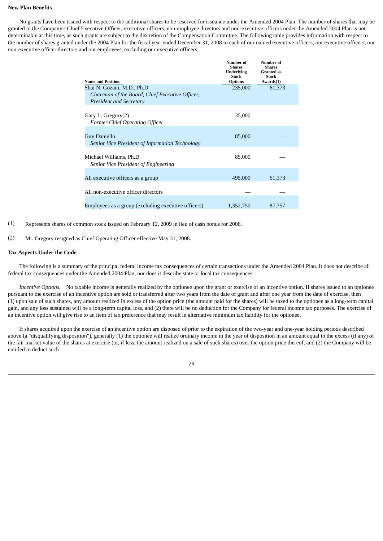## **New Plan Benefits**

 No grants have been issued with respect to the additional shares to be reserved for issuance under the Amended 2004 Plan. The number of shares that may be granted to the Company's Chief Executive Officer, executive officers, non-employee directors and non-executive officers under the Amended 2004 Plan is not determinable at this time, as such grants are subject to the discretion of the Compensation Committee. The following table provides information with respect to the number of shares granted under the 2004 Plan for the fiscal year ended December 31, 2008 to each of our named executive officers, our executive officers, our non-executive officer directors and our employees, excluding our executive officers.

| <b>Name and Position</b>                                                                                         | Number of<br><b>Shares</b><br><b>Underlying</b><br>Stock<br><b>Options</b> | Number of<br><b>Shares</b><br><b>Granted</b> as<br><b>Stock</b><br>Awards(1) |
|------------------------------------------------------------------------------------------------------------------|----------------------------------------------------------------------------|------------------------------------------------------------------------------|
| Shai N. Gozani, M.D., Ph.D.<br>Chairman of the Board, Chief Executive Officer,<br><b>President and Secretary</b> | 235,000                                                                    | 61,373                                                                       |
| Gary L. Gregory(2)<br><b>Former Chief Operating Officer</b>                                                      | 35,000                                                                     |                                                                              |
| <b>Guy Daniello</b><br>Senior Vice President of Information Technology                                           | 85,000                                                                     |                                                                              |
| Michael Williams, Ph.D.<br>Senior Vice President of Engineering                                                  | 85,000                                                                     |                                                                              |
| All executive officers as a group                                                                                | 495,000                                                                    | 61,373                                                                       |
| All non-executive officer directors                                                                              |                                                                            |                                                                              |
| Employees as a group (excluding executive officers)                                                              | 1,352,750                                                                  | 87,757                                                                       |

(1) Represents shares of common stock issued on February 12, 2009 in lieu of cash bonus for 2008.

(2) Mr. Gregory resigned as Chief Operating Officer effective May 31, 2008.

#### **Tax Aspects Under the Code**

 The following is a summary of the principal federal income tax consequences of certain transactions under the Amended 2004 Plan. It does not describe all federal tax consequences under the Amended 2004 Plan, nor does it describe state or local tax consequences.

 *Incentive Options.* No taxable income is generally realized by the optionee upon the grant or exercise of an incentive option. If shares issued to an optionee pursuant to the exercise of an incentive option are sold or transferred after two years from the date of grant and after one year from the date of exercise, then (1) upon sale of such shares, any amount realized in excess of the option price (the amount paid for the shares) will be taxed to the optionee as a long-term capital gain, and any loss sustained will be a long-term capital loss, and (2) there will be no deduction for the Company for federal income tax purposes. The exercise of an incentive option will give rise to an item of tax preference that may result in alternative minimum tax liability for the optionee.

 If shares acquired upon the exercise of an incentive option are disposed of prior to the expiration of the two-year and one-year holding periods described above (a "disqualifying disposition"), generally (1) the optionee will realize ordinary income in the year of disposition in an amount equal to the excess (if any) of the fair market value of the shares at exercise (or, if less, the amount realized on a sale of such shares) over the option price thereof, and (2) the Company will be entitled to deduct such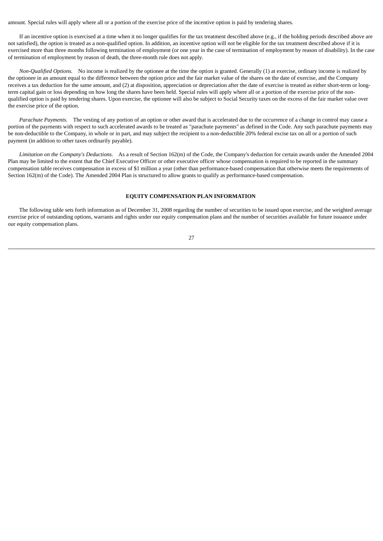amount. Special rules will apply where all or a portion of the exercise price of the incentive option is paid by tendering shares.

 If an incentive option is exercised at a time when it no longer qualifies for the tax treatment described above (e.g., if the holding periods described above are not satisfied), the option is treated as a non-qualified option. In addition, an incentive option will not be eligible for the tax treatment described above if it is exercised more than three months following termination of employment (or one year in the case of termination of employment by reason of disability). In the case of termination of employment by reason of death, the three-month rule does not apply.

 *Non-Qualified Options.* No income is realized by the optionee at the time the option is granted. Generally (1) at exercise, ordinary income is realized by the optionee in an amount equal to the difference between the option price and the fair market value of the shares on the date of exercise, and the Company receives a tax deduction for the same amount, and (2) at disposition, appreciation or depreciation after the date of exercise is treated as either short-term or longterm capital gain or loss depending on how long the shares have been held. Special rules will apply where all or a portion of the exercise price of the nonqualified option is paid by tendering shares. Upon exercise, the optionee will also be subject to Social Security taxes on the excess of the fair market value over the exercise price of the option.

 *Parachute Payments.* The vesting of any portion of an option or other award that is accelerated due to the occurrence of a change in control may cause a portion of the payments with respect to such accelerated awards to be treated as "parachute payments" as defined in the Code. Any such parachute payments may be non-deductible to the Company, in whole or in part, and may subject the recipient to a non-deductible 20% federal excise tax on all or a portion of such payment (in addition to other taxes ordinarily payable).

 *Limitation on the Company's Deductions.* As a result of Section 162(m) of the Code, the Company's deduction for certain awards under the Amended 2004 Plan may be limited to the extent that the Chief Executive Officer or other executive officer whose compensation is required to be reported in the summary compensation table receives compensation in excess of \$1 million a year (other than performance-based compensation that otherwise meets the requirements of Section 162(m) of the Code). The Amended 2004 Plan is structured to allow grants to qualify as performance-based compensation.

#### **EQUITY COMPENSATION PLAN INFORMATION**

<span id="page-28-0"></span> The following table sets forth information as of December 31, 2008 regarding the number of securities to be issued upon exercise, and the weighted average exercise price of outstanding options, warrants and rights under our equity compensation plans and the number of securities available for future issuance under our equity compensation plans.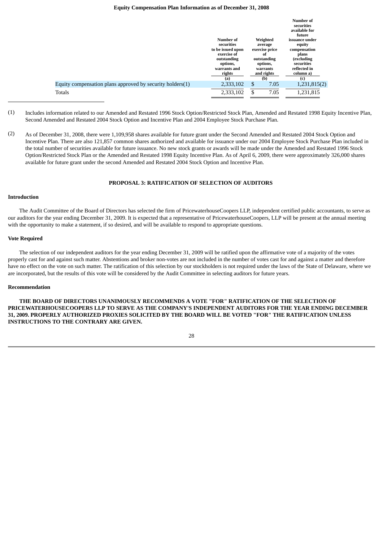#### **Equity Compensation Plan Information as of December 31, 2008**

|                                                           |                                                                                                                         |                                                                                                         | Number of<br>securities<br>available for<br>future                                                                |
|-----------------------------------------------------------|-------------------------------------------------------------------------------------------------------------------------|---------------------------------------------------------------------------------------------------------|-------------------------------------------------------------------------------------------------------------------|
|                                                           | Number of<br>securities<br>to be issued upon<br>exercise of<br>outstanding<br>options,<br>warrants and<br>rights<br>(a) | Weighted<br>average<br>exercise price<br>of<br>outstanding<br>options,<br>warrants<br>and rights<br>(b) | issuance under<br>equity<br>compensation<br>plans<br>(excluding<br>securities<br>reflected in<br>column a)<br>(c) |
| Equity compensation plans approved by security holders(1) | 2,333,102                                                                                                               | \$<br>7.05                                                                                              | 1,231,815(2)                                                                                                      |
| Totals                                                    | 2,333,102                                                                                                               | \$<br>7.05                                                                                              | 1,231,815                                                                                                         |

- (1) Includes information related to our Amended and Restated 1996 Stock Option/Restricted Stock Plan, Amended and Restated 1998 Equity Incentive Plan, Second Amended and Restated 2004 Stock Option and Incentive Plan and 2004 Employee Stock Purchase Plan.
- (2) As of December 31, 2008, there were 1,109,958 shares available for future grant under the Second Amended and Restated 2004 Stock Option and Incentive Plan. There are also 121,857 common shares authorized and available for issuance under our 2004 Employee Stock Purchase Plan included in the total number of securities available for future issuance. No new stock grants or awards will be made under the Amended and Restated 1996 Stock Option/Restricted Stock Plan or the Amended and Restated 1998 Equity Incentive Plan. As of April 6, 2009, there were approximately 326,000 shares available for future grant under the second Amended and Restated 2004 Stock Option and Incentive Plan.

## **PROPOSAL 3: RATIFICATION OF SELECTION OF AUDITORS**

## <span id="page-29-0"></span>**Introduction**

 The Audit Committee of the Board of Directors has selected the firm of PricewaterhouseCoopers LLP, independent certified public accountants, to serve as our auditors for the year ending December 31, 2009. It is expected that a representative of PricewaterhouseCoopers, LLP will be present at the annual meeting with the opportunity to make a statement, if so desired, and will be available to respond to appropriate questions.

## **Vote Required**

 The selection of our independent auditors for the year ending December 31, 2009 will be ratified upon the affirmative vote of a majority of the votes properly cast for and against such matter. Abstentions and broker non-votes are not included in the number of votes cast for and against a matter and therefore have no effect on the vote on such matter. The ratification of this selection by our stockholders is not required under the laws of the State of Delaware, where we are incorporated, but the results of this vote will be considered by the Audit Committee in selecting auditors for future years.

## **Recommendation**

 **THE BOARD OF DIRECTORS UNANIMOUSLY RECOMMENDS A VOTE "FOR" RATIFICATION OF THE SELECTION OF PRICEWATERHOUSECOOPERS LLP TO SERVE AS THE COMPANY'S INDEPENDENT AUDITORS FOR THE YEAR ENDING DECEMBER 31, 2009. PROPERLY AUTHORIZED PROXIES SOLICITED BY THE BOARD WILL BE VOTED "FOR" THE RATIFICATION UNLESS INSTRUCTIONS TO THE CONTRARY ARE GIVEN.**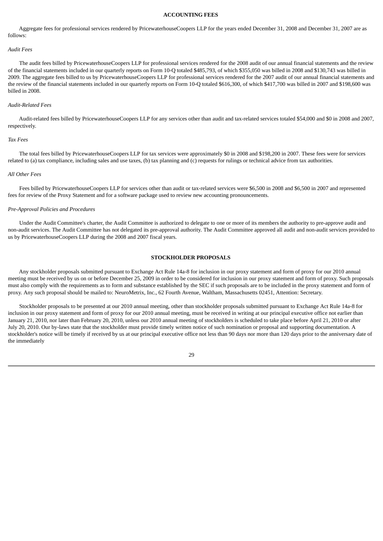## **ACCOUNTING FEES**

<span id="page-30-0"></span> Aggregate fees for professional services rendered by PricewaterhouseCoopers LLP for the years ended December 31, 2008 and December 31, 2007 are as follows:

#### *Audit Fees*

 The audit fees billed by PricewaterhouseCoopers LLP for professional services rendered for the 2008 audit of our annual financial statements and the review of the financial statements included in our quarterly reports on Form 10-Q totaled \$485,793, of which \$355,050 was billed in 2008 and \$130,743 was billed in 2009. The aggregate fees billed to us by PricewaterhouseCoopers LLP for professional services rendered for the 2007 audit of our annual financial statements and the review of the financial statements included in our quarterly reports on Form 10-Q totaled \$616,300, of which \$417,700 was billed in 2007 and \$198,600 was billed in 2008.

## *Audit-Related Fees*

 Audit-related fees billed by PricewaterhouseCoopers LLP for any services other than audit and tax-related services totaled \$54,000 and \$0 in 2008 and 2007, respectively.

#### *Tax Fees*

 The total fees billed by PricewaterhouseCoopers LLP for tax services were approximately \$0 in 2008 and \$198,200 in 2007. These fees were for services related to (a) tax compliance, including sales and use taxes, (b) tax planning and (c) requests for rulings or technical advice from tax authorities.

#### *All Other Fees*

 Fees billed by PricewaterhouseCoopers LLP for services other than audit or tax-related services were \$6,500 in 2008 and \$6,500 in 2007 and represented fees for review of the Proxy Statement and for a software package used to review new accounting pronouncements.

#### *Pre-Approval Policies and Procedures*

 Under the Audit Committee's charter, the Audit Committee is authorized to delegate to one or more of its members the authority to pre-approve audit and non-audit services. The Audit Committee has not delegated its pre-approval authority. The Audit Committee approved all audit and non-audit services provided to us by PricewaterhouseCoopers LLP during the 2008 and 2007 fiscal years.

## **STOCKHOLDER PROPOSALS**

<span id="page-30-1"></span> Any stockholder proposals submitted pursuant to Exchange Act Rule 14a-8 for inclusion in our proxy statement and form of proxy for our 2010 annual meeting must be received by us on or before December 25, 2009 in order to be considered for inclusion in our proxy statement and form of proxy. Such proposals must also comply with the requirements as to form and substance established by the SEC if such proposals are to be included in the proxy statement and form of proxy. Any such proposal should be mailed to: NeuroMetrix, Inc., 62 Fourth Avenue, Waltham, Massachusetts 02451, Attention: Secretary.

 Stockholder proposals to be presented at our 2010 annual meeting, other than stockholder proposals submitted pursuant to Exchange Act Rule 14a-8 for inclusion in our proxy statement and form of proxy for our 2010 annual meeting, must be received in writing at our principal executive office not earlier than January 21, 2010, nor later than February 20, 2010, unless our 2010 annual meeting of stockholders is scheduled to take place before April 21, 2010 or after July 20, 2010. Our by-laws state that the stockholder must provide timely written notice of such nomination or proposal and supporting documentation. A stockholder's notice will be timely if received by us at our principal executive office not less than 90 days nor more than 120 days prior to the anniversary date of the immediately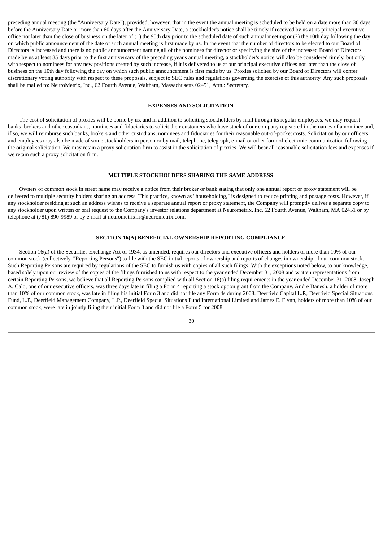preceding annual meeting (the "Anniversary Date"); provided, however, that in the event the annual meeting is scheduled to be held on a date more than 30 days before the Anniversary Date or more than 60 days after the Anniversary Date, a stockholder's notice shall be timely if received by us at its principal executive office not later than the close of business on the later of  $(1)$  the 90th day prior to the scheduled date of such annual meeting or  $(2)$  the 10th day following the day on which public announcement of the date of such annual meeting is first made by us. In the event that the number of directors to be elected to our Board of Directors is increased and there is no public announcement naming all of the nominees for director or specifying the size of the increased Board of Directors made by us at least 85 days prior to the first anniversary of the preceding year's annual meeting, a stockholder's notice will also be considered timely, but only with respect to nominees for any new positions created by such increase, if it is delivered to us at our principal executive offices not later than the close of business on the 10th day following the day on which such public announcement is first made by us. Proxies solicited by our Board of Directors will confer discretionary voting authority with respect to these proposals, subject to SEC rules and regulations governing the exercise of this authority. Any such proposals shall be mailed to: NeuroMetrix, Inc., 62 Fourth Avenue, Waltham, Massachusetts 02451, Attn.: Secretary.

#### **EXPENSES AND SOLICITATION**

<span id="page-31-0"></span> The cost of solicitation of proxies will be borne by us, and in addition to soliciting stockholders by mail through its regular employees, we may request banks, brokers and other custodians, nominees and fiduciaries to solicit their customers who have stock of our company registered in the names of a nominee and, if so, we will reimburse such banks, brokers and other custodians, nominees and fiduciaries for their reasonable out-of-pocket costs. Solicitation by our officers and employees may also be made of some stockholders in person or by mail, telephone, telegraph, e-mail or other form of electronic communication following the original solicitation. We may retain a proxy solicitation firm to assist in the solicitation of proxies. We will bear all reasonable solicitation fees and expenses if we retain such a proxy solicitation firm.

## **MULTIPLE STOCKHOLDERS SHARING THE SAME ADDRESS**

<span id="page-31-1"></span> Owners of common stock in street name may receive a notice from their broker or bank stating that only one annual report or proxy statement will be delivered to multiple security holders sharing an address. This practice, known as "householding," is designed to reduce printing and postage costs. However, if any stockholder residing at such an address wishes to receive a separate annual report or proxy statement, the Company will promptly deliver a separate copy to any stockholder upon written or oral request to the Company's investor relations department at Neurometrix, Inc, 62 Fourth Avenue, Waltham, MA 02451 or by telephone at (781) 890-9989 or by e-mail at neurometrix.ir@neurometrix.com.

## **SECTION 16(A) BENEFICIAL OWNERSHIP REPORTING COMPLIANCE**

<span id="page-31-2"></span> Section 16(a) of the Securities Exchange Act of 1934, as amended, requires our directors and executive officers and holders of more than 10% of our common stock (collectively, "Reporting Persons") to file with the SEC initial reports of ownership and reports of changes in ownership of our common stock. Such Reporting Persons are required by regulations of the SEC to furnish us with copies of all such filings. With the exceptions noted below, to our knowledge, based solely upon our review of the copies of the filings furnished to us with respect to the year ended December 31, 2008 and written representations from certain Reporting Persons, we believe that all Reporting Persons complied with all Section 16(a) filing requirements in the year ended December 31, 2008. Joseph A. Calo, one of our executive officers, was three days late in filing a Form 4 reporting a stock option grant from the Company. Andre Danesh, a holder of more than 10% of our common stock, was late in filing his initial Form 3 and did not file any Form 4s during 2008. Deerfield Capital L.P., Deerfield Special Situations Fund, L.P., Deerfield Management Company, L.P., Deerfield Special Situations Fund International Limited and James E. Flynn, holders of more than 10% of our common stock, were late in jointly filing their initial Form 3 and did not file a Form 5 for 2008.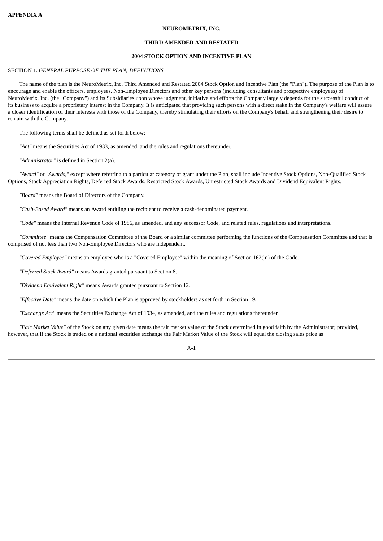## **NEUROMETRIX, INC.**

## **THIRD AMENDED AND RESTATED**

## **2004 STOCK OPTION AND INCENTIVE PLAN**

## <span id="page-32-0"></span>SECTION 1. *GENERAL PURPOSE OF THE PLAN; DEFINITIONS*

 The name of the plan is the NeuroMetrix, Inc. Third Amended and Restated 2004 Stock Option and Incentive Plan (the "Plan"). The purpose of the Plan is to encourage and enable the officers, employees, Non-Employee Directors and other key persons (including consultants and prospective employees) of NeuroMetrix, Inc. (the "Company") and its Subsidiaries upon whose judgment, initiative and efforts the Company largely depends for the successful conduct of its business to acquire a proprietary interest in the Company. It is anticipated that providing such persons with a direct stake in the Company's welfare will assure a closer identification of their interests with those of the Company, thereby stimulating their efforts on the Company's behalf and strengthening their desire to remain with the Company.

The following terms shall be defined as set forth below:

*"Act"* means the Securities Act of 1933, as amended, and the rules and regulations thereunder.

*"Administrator"* is defined in Section 2(a).

 *"Award"* or *"Awards,"* except where referring to a particular category of grant under the Plan, shall include Incentive Stock Options, Non-Qualified Stock Options, Stock Appreciation Rights, Deferred Stock Awards, Restricted Stock Awards, Unrestricted Stock Awards and Dividend Equivalent Rights.

*"Board"* means the Board of Directors of the Company.

*"Cash-Based Award"* means an Award entitling the recipient to receive a cash-denominated payment.

*"Code"* means the Internal Revenue Code of 1986, as amended, and any successor Code, and related rules, regulations and interpretations.

 *"Committee"* means the Compensation Committee of the Board or a similar committee performing the functions of the Compensation Committee and that is comprised of not less than two Non-Employee Directors who are independent.

*"Covered Employee"* means an employee who is a "Covered Employee" within the meaning of Section 162(m) of the Code.

*"Deferred Stock Award"* means Awards granted pursuant to Section 8.

*"Dividend Equivalent Right"* means Awards granted pursuant to Section 12.

*"Effective Date"* means the date on which the Plan is approved by stockholders as set forth in Section 19.

*"Exchange Act"* means the Securities Exchange Act of 1934, as amended, and the rules and regulations thereunder.

 *"Fair Market Value"* of the Stock on any given date means the fair market value of the Stock determined in good faith by the Administrator; provided, however, that if the Stock is traded on a national securities exchange the Fair Market Value of the Stock will equal the closing sales price as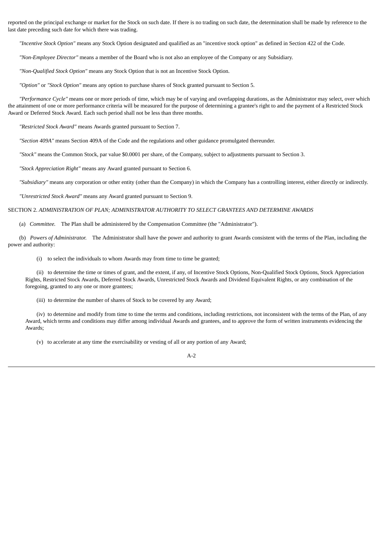reported on the principal exchange or market for the Stock on such date. If there is no trading on such date, the determination shall be made by reference to the last date preceding such date for which there was trading.

*"Incentive Stock Option"* means any Stock Option designated and qualified as an "incentive stock option" as defined in Section 422 of the Code.

*"Non-Employee Director"* means a member of the Board who is not also an employee of the Company or any Subsidiary.

*"Non-Qualified Stock Option"* means any Stock Option that is not an Incentive Stock Option.

*"Option"* or *"Stock Option"* means any option to purchase shares of Stock granted pursuant to Section 5.

 *"Performance Cycle"* means one or more periods of time, which may be of varying and overlapping durations, as the Administrator may select, over which the attainment of one or more performance criteria will be measured for the purpose of determining a grantee's right to and the payment of a Restricted Stock Award or Deferred Stock Award. Each such period shall not be less than three months.

*"Restricted Stock Award"* means Awards granted pursuant to Section 7.

*"Section 409A"* means Section 409A of the Code and the regulations and other guidance promulgated thereunder.

*"Stock"* means the Common Stock, par value \$0.0001 per share, of the Company, subject to adjustments pursuant to Section 3.

*"Stock Appreciation Right"* means any Award granted pursuant to Section 6.

*"Subsidiary"* means any corporation or other entity (other than the Company) in which the Company has a controlling interest, either directly or indirectly.

*"Unrestricted Stock Award"* means any Award granted pursuant to Section 9.

## SECTION 2. *ADMINISTRATION OF PLAN; ADMINISTRATOR AUTHORITY TO SELECT GRANTEES AND DETERMINE AWARDS*

(a) *Committee.* The Plan shall be administered by the Compensation Committee (the "Administrator").

 (b) *Powers of Administrator.* The Administrator shall have the power and authority to grant Awards consistent with the terms of the Plan, including the power and authority:

(i) to select the individuals to whom Awards may from time to time be granted;

 (ii) to determine the time or times of grant, and the extent, if any, of Incentive Stock Options, Non-Qualified Stock Options, Stock Appreciation Rights, Restricted Stock Awards, Deferred Stock Awards, Unrestricted Stock Awards and Dividend Equivalent Rights, or any combination of the foregoing, granted to any one or more grantees;

(iii) to determine the number of shares of Stock to be covered by any Award;

 (iv) to determine and modify from time to time the terms and conditions, including restrictions, not inconsistent with the terms of the Plan, of any Award, which terms and conditions may differ among individual Awards and grantees, and to approve the form of written instruments evidencing the Awards;

(v) to accelerate at any time the exercisability or vesting of all or any portion of any Award;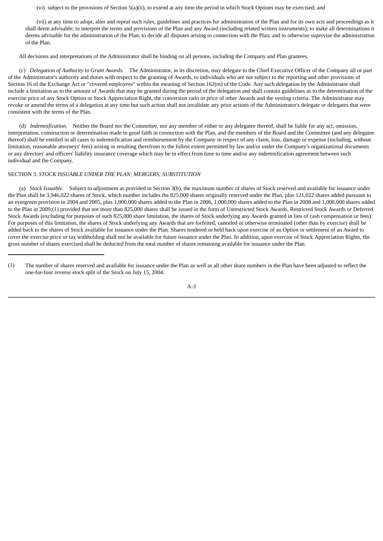(vi) subject to the provisions of Section 5(a)(ii), to extend at any time the period in which Stock Options may be exercised; and

 (vii) at any time to adopt, alter and repeal such rules, guidelines and practices for administration of the Plan and for its own acts and proceedings as it shall deem advisable; to interpret the terms and provisions of the Plan and any Award (including related written instruments); to make all determinations it deems advisable for the administration of the Plan; to decide all disputes arising in connection with the Plan; and to otherwise supervise the administration of the Plan.

All decisions and interpretations of the Administrator shall be binding on all persons, including the Company and Plan grantees.

 (c) *Delegation of Authority to Grant Awards.* The Administrator, in its discretion, may delegate to the Chief Executive Officer of the Company all or part of the Administrator's authority and duties with respect to the granting of Awards, to individuals who are not subject to the reporting and other provisions of Section 16 of the Exchange Act or "covered employees" within the meaning of Section 162(m) of the Code. Any such delegation by the Administrator shall include a limitation as to the amount of Awards that may be granted during the period of the delegation and shall contain guidelines as to the determination of the exercise price of any Stock Option or Stock Appreciation Right, the conversion ratio or price of other Awards and the vesting criteria. The Administrator may revoke or amend the terms of a delegation at any time but such action shall not invalidate any prior actions of the Administrator's delegate or delegates that were consistent with the terms of the Plan.

 (d) *Indemnification.* Neither the Board nor the Committee, nor any member of either or any delegatee thereof, shall be liable for any act, omission, interpretation, construction or determination made in good faith in connection with the Plan, and the members of the Board and the Committee (and any delegatee thereof) shall be entitled in all cases to indemnification and reimbursement by the Company in respect of any claim, loss, damage or expense (including, without limitation, reasonable attorneys' fees) arising or resulting therefrom to the fullest extent permitted by law and/or under the Company's organizational documents or any directors' and officers' liability insurance coverage which may be in effect from time to time and/or any indemnification agreement between such individual and the Company.

## SECTION 3. *STOCK ISSUABLE UNDER THE PLAN; MERGERS; SUBSTITUTION*

 (a) *Stock Issuable.* Subject to adjustment as provided in Section 3(b), the maximum number of shares of Stock reserved and available for issuance under the Plan shall be 3,946,022 shares of Stock, which number includes the 825,000 shares originally reserved under the Plan, plus 121,022 shares added pursuant to an evergreen provision in 2004 and 2005, plus 1,000,000 shares added to the Plan in 2006, 1,000,000 shares added to the Plan in 2008 and 1,000,000 shares added to the Plan in 2009;(1) provided that not more than 825,000 shares shall be issued in the form of Unrestricted Stock Awards, Restricted Stock Awards or Deferred Stock Awards (excluding for purposes of such 825,000 share limitation, the shares of Stock underlying any Awards granted in lieu of cash compensation or fees). For purposes of this limitation, the shares of Stock underlying any Awards that are forfeited, canceled or otherwise terminated (other than by exercise) shall be added back to the shares of Stock available for issuance under the Plan. Shares tendered or held back upon exercise of an Option or settlement of an Award to cover the exercise price or tax withholding shall not be available for future issuance under the Plan. In addition, upon exercise of Stock Appreciation Rights, the gross number of shares exercised shall be deducted from the total number of shares remaining available for issuance under the Plan.

<sup>(1)</sup> The number of shares reserved and available for issuance under the Plan as well as all other share numbers in the Plan have been adjusted to reflect the one-for-four reverse stock split of the Stock on July 15, 2004.

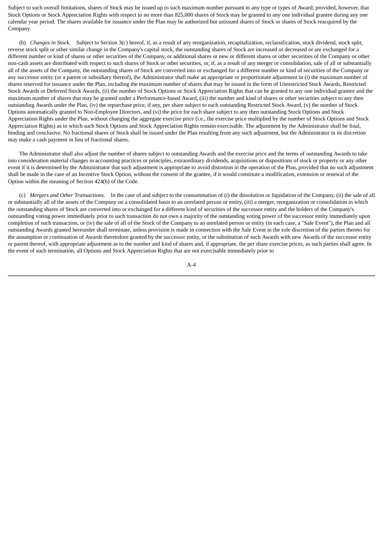Subject to such overall limitations, shares of Stock may be issued up to such maximum number pursuant to any type or types of Award; provided, however, that Stock Options or Stock Appreciation Rights with respect to no more than 825,000 shares of Stock may be granted to any one individual grantee during any one calendar year period. The shares available for issuance under the Plan may be authorized but unissued shares of Stock or shares of Stock reacquired by the Company.

(b) *Changes in Stock.* Subject to Section 3(c) hereof, if, as a result of any reorganization, recapitalization, reclassification, stock dividend, stock split, reverse stock split or other similar change in the Company's capital stock, the outstanding shares of Stock are increased or decreased or are exchanged for a different number or kind of shares or other securities of the Company, or additional shares or new or different shares or other securities of the Company or other non-cash assets are distributed with respect to such shares of Stock or other securities, or, if, as a result of any merger or consolidation, sale of all or substantially all of the assets of the Company, the outstanding shares of Stock are converted into or exchanged for a different number or kind of securities of the Company or any successor entity (or a parent or subsidiary thereof), the Administrator shall make an appropriate or proportionate adjustment in (i) the maximum number of shares reserved for issuance under the Plan, including the maximum number of shares that may be issued in the form of Unrestricted Stock Awards, Restricted Stock Awards or Deferred Stock Awards, (ii) the number of Stock Options or Stock Appreciation Rights that can be granted to any one individual grantee and the maximum number of shares that may be granted under a Performance-based Award, (iii) the number and kind of shares or other securities subject to any then outstanding Awards under the Plan, (iv) the repurchase price, if any, per share subject to each outstanding Restricted Stock Award, (v) the number of Stock Options automatically granted to Non-Employee Directors, and (vi) the price for each share subject to any then outstanding Stock Options and Stock Appreciation Rights under the Plan, without changing the aggregate exercise price (i.e., the exercise price multiplied by the number of Stock Options and Stock Appreciation Rights) as to which such Stock Options and Stock Appreciation Rights remain exercisable. The adjustment by the Administrator shall be final, binding and conclusive. No fractional shares of Stock shall be issued under the Plan resulting from any such adjustment, but the Administrator in its discretion may make a cash payment in lieu of fractional shares.

 The Administrator shall also adjust the number of shares subject to outstanding Awards and the exercise price and the terms of outstanding Awards to take into consideration material changes in accounting practices or principles, extraordinary dividends, acquisitions or dispositions of stock or property or any other event if it is determined by the Administrator that such adjustment is appropriate to avoid distortion in the operation of the Plan, provided that no such adjustment shall be made in the case of an Incentive Stock Option, without the consent of the grantee, if it would constitute a modification, extension or renewal of the Option within the meaning of Section 424(h) of the Code.

 (c) *Mergers and Other Transactions.* In the case of and subject to the consummation of (i) the dissolution or liquidation of the Company, (ii) the sale of all or substantially all of the assets of the Company on a consolidated basis to an unrelated person or entity, (iii) a merger, reorganization or consolidation in which the outstanding shares of Stock are converted into or exchanged for a different kind of securities of the successor entity and the holders of the Company's outstanding voting power immediately prior to such transaction do not own a majority of the outstanding voting power of the successor entity immediately upon completion of such transaction, or (iv) the sale of all of the Stock of the Company to an unrelated person or entity (in each case, a "Sale Event"), the Plan and all outstanding Awards granted hereunder shall terminate, unless provision is made in connection with the Sale Event in the sole discretion of the parties thereto for the assumption or continuation of Awards theretofore granted by the successor entity, or the substitution of such Awards with new Awards of the successor entity or parent thereof, with appropriate adjustment as to the number and kind of shares and, if appropriate, the per share exercise prices, as such parties shall agree. In the event of such termination, all Options and Stock Appreciation Rights that are not exercisable immediately prior to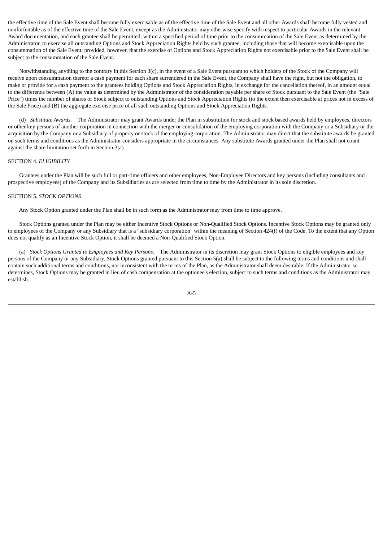the effective time of the Sale Event shall become fully exercisable as of the effective time of the Sale Event and all other Awards shall become fully vested and nonforfeitable as of the effective time of the Sale Event, except as the Administrator may otherwise specify with respect to particular Awards in the relevant Award documentation, and each grantee shall be permitted, within a specified period of time prior to the consummation of the Sale Event as determined by the Administrator, to exercise all outstanding Options and Stock Appreciation Rights held by such grantee, including those that will become exercisable upon the consummation of the Sale Event; provided, however, that the exercise of Options and Stock Appreciation Rights not exercisable prior to the Sale Event shall be subject to the consummation of the Sale Event.

 Notwithstanding anything to the contrary in this Section 3(c), in the event of a Sale Event pursuant to which holders of the Stock of the Company will receive upon consummation thereof a cash payment for each share surrendered in the Sale Event, the Company shall have the right, but not the obligation, to make or provide for a cash payment to the grantees holding Options and Stock Appreciation Rights, in exchange for the cancellation thereof, in an amount equal to the difference between (A) the value as determined by the Administrator of the consideration payable per share of Stock pursuant to the Sale Event (the "Sale Price") times the number of shares of Stock subject to outstanding Options and Stock Appreciation Rights (to the extent then exercisable at prices not in excess of the Sale Price) and (B) the aggregate exercise price of all such outstanding Options and Stock Appreciation Rights.

 (d) *Substitute Awards.* The Administrator may grant Awards under the Plan in substitution for stock and stock based awards held by employees, directors or other key persons of another corporation in connection with the merger or consolidation of the employing corporation with the Company or a Subsidiary or the acquisition by the Company or a Subsidiary of property or stock of the employing corporation. The Administrator may direct that the substitute awards be granted on such terms and conditions as the Administrator considers appropriate in the circumstances. Any substitute Awards granted under the Plan shall not count against the share limitation set forth in Section 3(a).

#### SECTION 4. *ELIGIBILITY*

 Grantees under the Plan will be such full or part-time officers and other employees, Non-Employee Directors and key persons (including consultants and prospective employees) of the Company and its Subsidiaries as are selected from time to time by the Administrator in its sole discretion.

#### SECTION 5. *STOCK OPTIONS*

Any Stock Option granted under the Plan shall be in such form as the Administrator may from time to time approve.

 Stock Options granted under the Plan may be either Incentive Stock Options or Non-Qualified Stock Options. Incentive Stock Options may be granted only to employees of the Company or any Subsidiary that is a "subsidiary corporation" within the meaning of Section 424(f) of the Code. To the extent that any Option does not qualify as an Incentive Stock Option, it shall be deemed a Non-Qualified Stock Option.

 (a) *Stock Options Granted to Employees and Key Persons.* The Administrator in its discretion may grant Stock Options to eligible employees and key persons of the Company or any Subsidiary. Stock Options granted pursuant to this Section 5(a) shall be subject to the following terms and conditions and shall contain such additional terms and conditions, not inconsistent with the terms of the Plan, as the Administrator shall deem desirable. If the Administrator so determines, Stock Options may be granted in lieu of cash compensation at the optionee's election, subject to such terms and conditions as the Administrator may establish.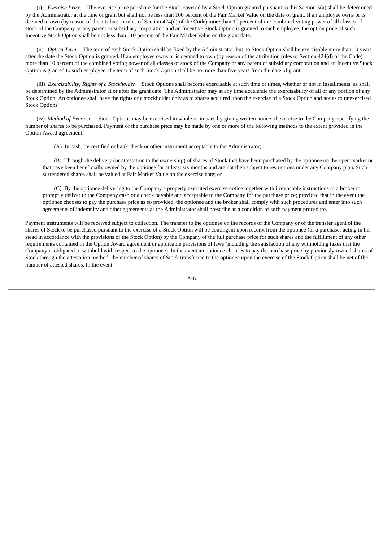(i) *Exercise Price.* The exercise price per share for the Stock covered by a Stock Option granted pursuant to this Section 5(a) shall be determined by the Administrator at the time of grant but shall not be less than 100 percent of the Fair Market Value on the date of grant. If an employee owns or is deemed to own (by reason of the attribution rules of Section 424(d) of the Code) more than 10 percent of the combined voting power of all classes of stock of the Company or any parent or subsidiary corporation and an Incentive Stock Option is granted to such employee, the option price of such Incentive Stock Option shall be not less than 110 percent of the Fair Market Value on the grant date.

 (ii) *Option Term.* The term of each Stock Option shall be fixed by the Administrator, but no Stock Option shall be exercisable more than 10 years after the date the Stock Option is granted. If an employee owns or is deemed to own (by reason of the attribution rules of Section 424(d) of the Code) more than 10 percent of the combined voting power of all classes of stock of the Company or any parent or subsidiary corporation and an Incentive Stock Option is granted to such employee, the term of such Stock Option shall be no more than five years from the date of grant.

 (iii) *Exercisability; Rights of a Stockholder.* Stock Options shall become exercisable at such time or times, whether or not in installments, as shall be determined by the Administrator at or after the grant date. The Administrator may at any time accelerate the exercisability of all or any portion of any Stock Option. An optionee shall have the rights of a stockholder only as to shares acquired upon the exercise of a Stock Option and not as to unexercised Stock Options.

 (iv) *Method of Exercise.* Stock Options may be exercised in whole or in part, by giving written notice of exercise to the Company, specifying the number of shares to be purchased. Payment of the purchase price may be made by one or more of the following methods to the extent provided in the Option Award agreement:

(A) In cash, by certified or bank check or other instrument acceptable to the Administrator;

 (B) Through the delivery (or attestation to the ownership) of shares of Stock that have been purchased by the optionee on the open market or that have been beneficially owned by the optionee for at least six months and are not then subject to restrictions under any Company plan. Such surrendered shares shall be valued at Fair Market Value on the exercise date; or

 (C) By the optionee delivering to the Company a properly executed exercise notice together with irrevocable instructions to a broker to promptly deliver to the Company cash or a check payable and acceptable to the Company for the purchase price; provided that in the event the optionee chooses to pay the purchase price as so provided, the optionee and the broker shall comply with such procedures and enter into such agreements of indemnity and other agreements as the Administrator shall prescribe as a condition of such payment procedure.

Payment instruments will be received subject to collection. The transfer to the optionee on the records of the Company or of the transfer agent of the shares of Stock to be purchased pursuant to the exercise of a Stock Option will be contingent upon receipt from the optionee (or a purchaser acting in his stead in accordance with the provisions of the Stock Option) by the Company of the full purchase price for such shares and the fulfillment of any other requirements contained in the Option Award agreement or applicable provisions of laws (including the satisfaction of any withholding taxes that the Company is obligated to withhold with respect to the optionee). In the event an optionee chooses to pay the purchase price by previously-owned shares of Stock through the attestation method, the number of shares of Stock transferred to the optionee upon the exercise of the Stock Option shall be net of the number of attested shares. In the event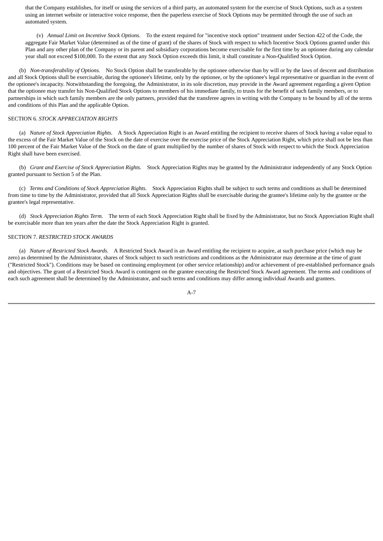that the Company establishes, for itself or using the services of a third party, an automated system for the exercise of Stock Options, such as a system using an internet website or interactive voice response, then the paperless exercise of Stock Options may be permitted through the use of such an automated system.

 (v) *Annual Limit on Incentive Stock Options.* To the extent required for "incentive stock option" treatment under Section 422 of the Code, the aggregate Fair Market Value (determined as of the time of grant) of the shares of Stock with respect to which Incentive Stock Options granted under this Plan and any other plan of the Company or its parent and subsidiary corporations become exercisable for the first time by an optionee during any calendar year shall not exceed \$100,000. To the extent that any Stock Option exceeds this limit, it shall constitute a Non-Qualified Stock Option.

 (b) *Non-transferability of Options.* No Stock Option shall be transferable by the optionee otherwise than by will or by the laws of descent and distribution and all Stock Options shall be exercisable, during the optionee's lifetime, only by the optionee, or by the optionee's legal representative or guardian in the event of the optionee's incapacity. Notwithstanding the foregoing, the Administrator, in its sole discretion, may provide in the Award agreement regarding a given Option that the optionee may transfer his Non-Qualified Stock Options to members of his immediate family, to trusts for the benefit of such family members, or to partnerships in which such family members are the only partners, provided that the transferee agrees in writing with the Company to be bound by all of the terms and conditions of this Plan and the applicable Option.

## SECTION 6. *STOCK APPRECIATION RIGHTS*

 (a) *Nature of Stock Appreciation Rights.* A Stock Appreciation Right is an Award entitling the recipient to receive shares of Stock having a value equal to the excess of the Fair Market Value of the Stock on the date of exercise over the exercise price of the Stock Appreciation Right, which price shall not be less than 100 percent of the Fair Market Value of the Stock on the date of grant multiplied by the number of shares of Stock with respect to which the Stock Appreciation Right shall have been exercised.

 (b) *Grant and Exercise of Stock Appreciation Rights.* Stock Appreciation Rights may be granted by the Administrator independently of any Stock Option granted pursuant to Section 5 of the Plan.

 (c) *Terms and Conditions of Stock Appreciation Rights.* Stock Appreciation Rights shall be subject to such terms and conditions as shall be determined from time to time by the Administrator, provided that all Stock Appreciation Rights shall be exercisable during the grantee's lifetime only by the grantee or the grantee's legal representative.

 (d) *Stock Appreciation Rights Term.* The term of each Stock Appreciation Right shall be fixed by the Administrator, but no Stock Appreciation Right shall be exercisable more than ten years after the date the Stock Appreciation Right is granted.

## SECTION 7. *RESTRICTED STOCK AWARDS*

 (a) *Nature of Restricted Stock Awards.* A Restricted Stock Award is an Award entitling the recipient to acquire, at such purchase price (which may be zero) as determined by the Administrator, shares of Stock subject to such restrictions and conditions as the Administrator may determine at the time of grant ("Restricted Stock"). Conditions may be based on continuing employment (or other service relationship) and/or achievement of pre-established performance goals and objectives. The grant of a Restricted Stock Award is contingent on the grantee executing the Restricted Stock Award agreement. The terms and conditions of each such agreement shall be determined by the Administrator, and such terms and conditions may differ among individual Awards and grantees.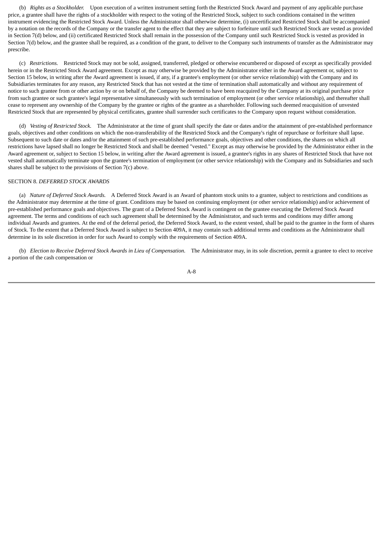(b) *Rights as a Stockholder.* Upon execution of a written instrument setting forth the Restricted Stock Award and payment of any applicable purchase price, a grantee shall have the rights of a stockholder with respect to the voting of the Restricted Stock, subject to such conditions contained in the written instrument evidencing the Restricted Stock Award. Unless the Administrator shall otherwise determine, (i) uncertificated Restricted Stock shall be accompanied by a notation on the records of the Company or the transfer agent to the effect that they are subject to forfeiture until such Restricted Stock are vested as provided in Section 7(d) below, and (ii) certificated Restricted Stock shall remain in the possession of the Company until such Restricted Stock is vested as provided in Section 7(d) below, and the grantee shall be required, as a condition of the grant, to deliver to the Company such instruments of transfer as the Administrator may prescribe.

 (c) *Restrictions.* Restricted Stock may not be sold, assigned, transferred, pledged or otherwise encumbered or disposed of except as specifically provided herein or in the Restricted Stock Award agreement. Except as may otherwise be provided by the Administrator either in the Award agreement or, subject to Section 15 below, in writing after the Award agreement is issued, if any, if a grantee's employment (or other service relationship) with the Company and its Subsidiaries terminates for any reason, any Restricted Stock that has not vested at the time of termination shall automatically and without any requirement of notice to such grantee from or other action by or on behalf of, the Company be deemed to have been reacquired by the Company at its original purchase price from such grantee or such grantee's legal representative simultaneously with such termination of employment (or other service relationship), and thereafter shall cease to represent any ownership of the Company by the grantee or rights of the grantee as a shareholder. Following such deemed reacquisition of unvested Restricted Stock that are represented by physical certificates, grantee shall surrender such certificates to the Company upon request without consideration.

 (d) *Vesting of Restricted Stock.* The Administrator at the time of grant shall specify the date or dates and/or the attainment of pre-established performance goals, objectives and other conditions on which the non-transferability of the Restricted Stock and the Company's right of repurchase or forfeiture shall lapse. Subsequent to such date or dates and/or the attainment of such pre-established performance goals, objectives and other conditions, the shares on which all restrictions have lapsed shall no longer be Restricted Stock and shall be deemed "vested." Except as may otherwise be provided by the Administrator either in the Award agreement or, subject to Section 15 below, in writing after the Award agreement is issued, a grantee's rights in any shares of Restricted Stock that have not vested shall automatically terminate upon the grantee's termination of employment (or other service relationship) with the Company and its Subsidiaries and such shares shall be subject to the provisions of Section 7(c) above.

## SECTION 8. *DEFERRED STOCK AWARDS*

 (a) *Nature of Deferred Stock Awards.* A Deferred Stock Award is an Award of phantom stock units to a grantee, subject to restrictions and conditions as the Administrator may determine at the time of grant. Conditions may be based on continuing employment (or other service relationship) and/or achievement of pre-established performance goals and objectives. The grant of a Deferred Stock Award is contingent on the grantee executing the Deferred Stock Award agreement. The terms and conditions of each such agreement shall be determined by the Administrator, and such terms and conditions may differ among individual Awards and grantees. At the end of the deferral period, the Deferred Stock Award, to the extent vested, shall be paid to the grantee in the form of shares of Stock. To the extent that a Deferred Stock Award is subject to Section 409A, it may contain such additional terms and conditions as the Administrator shall determine in its sole discretion in order for such Award to comply with the requirements of Section 409A.

 (b) *Election to Receive Deferred Stock Awards in Lieu of Compensation.* The Administrator may, in its sole discretion, permit a grantee to elect to receive a portion of the cash compensation or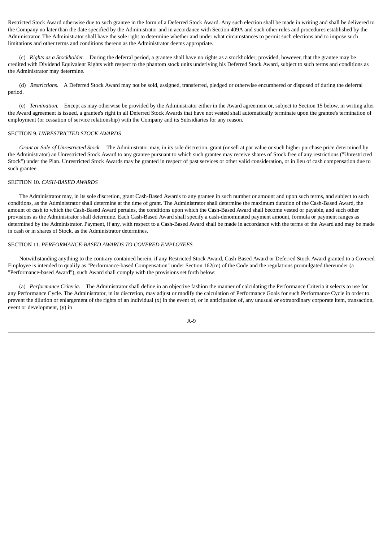Restricted Stock Award otherwise due to such grantee in the form of a Deferred Stock Award. Any such election shall be made in writing and shall be delivered to the Company no later than the date specified by the Administrator and in accordance with Section 409A and such other rules and procedures established by the Administrator. The Administrator shall have the sole right to determine whether and under what circumstances to permit such elections and to impose such limitations and other terms and conditions thereon as the Administrator deems appropriate.

 (c) *Rights as a Stockholder.* During the deferral period, a grantee shall have no rights as a stockholder; provided, however, that the grantee may be credited with Dividend Equivalent Rights with respect to the phantom stock units underlying his Deferred Stock Award, subject to such terms and conditions as the Administrator may determine.

 (d) *Restrictions.* A Deferred Stock Award may not be sold, assigned, transferred, pledged or otherwise encumbered or disposed of during the deferral period.

 (e) *Termination.* Except as may otherwise be provided by the Administrator either in the Award agreement or, subject to Section 15 below, in writing after the Award agreement is issued, a grantee's right in all Deferred Stock Awards that have not vested shall automatically terminate upon the grantee's termination of employment (or cessation of service relationship) with the Company and its Subsidiaries for any reason.

#### SECTION 9. *UNRESTRICTED STOCK AWARDS*

 *Grant or Sale of Unrestricted Stock.* The Administrator may, in its sole discretion, grant (or sell at par value or such higher purchase price determined by the Administrator) an Unrestricted Stock Award to any grantee pursuant to which such grantee may receive shares of Stock free of any restrictions ("Unrestricted Stock") under the Plan. Unrestricted Stock Awards may be granted in respect of past services or other valid consideration, or in lieu of cash compensation due to such grantee.

## SECTION 10. *CASH-BASED AWARDS*

 The Administrator may, in its sole discretion, grant Cash-Based Awards to any grantee in such number or amount and upon such terms, and subject to such conditions, as the Administrator shall determine at the time of grant. The Administrator shall determine the maximum duration of the Cash-Based Award, the amount of cash to which the Cash-Based Award pertains, the conditions upon which the Cash-Based Award shall become vested or payable, and such other provisions as the Administrator shall determine. Each Cash-Based Award shall specify a cash-denominated payment amount, formula or payment ranges as determined by the Administrator. Payment, if any, with respect to a Cash-Based Award shall be made in accordance with the terms of the Award and may be made in cash or in shares of Stock, as the Administrator determines.

## SECTION 11. *PERFORMANCE-BASED AWARDS TO COVERED EMPLOYEES*

 Notwithstanding anything to the contrary contained herein, if any Restricted Stock Award, Cash-Based Award or Deferred Stock Award granted to a Covered Employee is intended to qualify as "Performance-based Compensation" under Section 162(m) of the Code and the regulations promulgated thereunder (a "Performance-based Award"), such Award shall comply with the provisions set forth below:

 (a) *Performance Criteria.* The Administrator shall define in an objective fashion the manner of calculating the Performance Criteria it selects to use for any Performance Cycle. The Administrator, in its discretion, may adjust or modify the calculation of Performance Goals for such Performance Cycle in order to prevent the dilution or enlargement of the rights of an individual (x) in the event of, or in anticipation of, any unusual or extraordinary corporate item, transaction, event or development, (y) in

$$
A-9
$$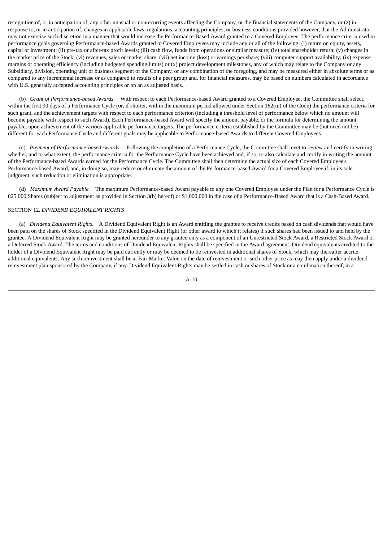recognition of, or in anticipation of, any other unusual or nonrecurring events affecting the Company, or the financial statements of the Company, or (z) in response to, or in anticipation of, changes in applicable laws, regulations, accounting principles, or business conditions provided however, that the Administrator may not exercise such discretion in a manner that would increase the Performance-Based Award granted to a Covered Employee. The performance criteria used in performance goals governing Performance-based Awards granted to Covered Employees may include any or all of the following: (i) return on equity, assets, capital or investment: (ii) pre-tax or after-tax profit levels; (iii) cash flow, funds from operations or similar measure; (iv) total shareholder return; (v) changes in the market price of the Stock; (vi) revenues, sales or market share; (vii) net income (loss) or earnings per share; (viii) computer support availability; (ix) expense margins or operating efficiency (including budgeted spending limits) or (x) project development milestones, any of which may relate to the Company or any Subsidiary, division, operating unit or business segment of the Company, or any combination of the foregoing, and may be measured either in absolute terms or as compared to any incremental increase or as compared to results of a peer group and, for financial measures, may be based on numbers calculated in accordance with U.S. generally accepted accounting principles or on an as adjusted basis.

 (b) *Grant of Performance-based Awards.* With respect to each Performance-based Award granted to a Covered Employee, the Committee shall select, within the first 90 days of a Performance Cycle (or, if shorter, within the maximum period allowed under Section 162(m) of the Code) the performance criteria for such grant, and the achievement targets with respect to each performance criterion (including a threshold level of performance below which no amount will become payable with respect to such Award). Each Performance-based Award will specify the amount payable, or the formula for determining the amount payable, upon achievement of the various applicable performance targets. The performance criteria established by the Committee may be (but need not be) different for each Performance Cycle and different goals may be applicable to Performance-based Awards to different Covered Employees.

 (c) *Payment of Performance-based Awards.* Following the completion of a Performance Cycle, the Committee shall meet to review and certify in writing whether, and to what extent, the performance criteria for the Performance Cycle have been achieved and, if so, to also calculate and certify in writing the amount of the Performance-based Awards earned for the Performance Cycle. The Committee shall then determine the actual size of each Covered Employee's Performance-based Award, and, in doing so, may reduce or eliminate the amount of the Performance-based Award for a Covered Employee if, in its sole judgment, such reduction or elimination is appropriate.

 (d) *Maximum Award Payable.* The maximum Performance-based Award payable to any one Covered Employee under the Plan for a Performance Cycle is 825,000 Shares (subject to adjustment as provided in Section 3(b) hereof) or \$1,000,000 in the case of a Performance-Based Award that is a Cash-Based Award.

## SECTION 12. *DIVIDEND EQUIVALENT RIGHTS*

 (a) *Dividend Equivalent Rights.* A Dividend Equivalent Right is an Award entitling the grantee to receive credits based on cash dividends that would have been paid on the shares of Stock specified in the Dividend Equivalent Right (or other award to which it relates) if such shares had been issued to and held by the grantee. A Dividend Equivalent Right may be granted hereunder to any grantee only as a component of an Unrestricted Stock Award, a Restricted Stock Award or a Deferred Stock Award. The terms and conditions of Dividend Equivalent Rights shall be specified in the Award agreement. Dividend equivalents credited to the holder of a Dividend Equivalent Right may be paid currently or may be deemed to be reinvested in additional shares of Stock, which may thereafter accrue additional equivalents. Any such reinvestment shall be at Fair Market Value on the date of reinvestment or such other price as may then apply under a dividend reinvestment plan sponsored by the Company, if any. Dividend Equivalent Rights may be settled in cash or shares of Stock or a combination thereof, in a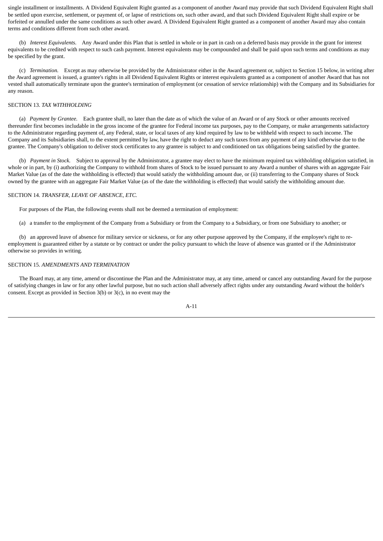single installment or installments. A Dividend Equivalent Right granted as a component of another Award may provide that such Dividend Equivalent Right shall be settled upon exercise, settlement, or payment of, or lapse of restrictions on, such other award, and that such Dividend Equivalent Right shall expire or be forfeited or annulled under the same conditions as such other award. A Dividend Equivalent Right granted as a component of another Award may also contain terms and conditions different from such other award.

 (b) *Interest Equivalents.* Any Award under this Plan that is settled in whole or in part in cash on a deferred basis may provide in the grant for interest equivalents to be credited with respect to such cash payment. Interest equivalents may be compounded and shall be paid upon such terms and conditions as may be specified by the grant.

 (c) *Termination.* Except as may otherwise be provided by the Administrator either in the Award agreement or, subject to Section 15 below, in writing after the Award agreement is issued, a grantee's rights in all Dividend Equivalent Rights or interest equivalents granted as a component of another Award that has not vested shall automatically terminate upon the grantee's termination of employment (or cessation of service relationship) with the Company and its Subsidiaries for any reason.

# SECTION 13. *TAX WITHHOLDING*

 (a) *Payment by Grantee.* Each grantee shall, no later than the date as of which the value of an Award or of any Stock or other amounts received thereunder first becomes includable in the gross income of the grantee for Federal income tax purposes, pay to the Company, or make arrangements satisfactory to the Administrator regarding payment of, any Federal, state, or local taxes of any kind required by law to be withheld with respect to such income. The Company and its Subsidiaries shall, to the extent permitted by law, have the right to deduct any such taxes from any payment of any kind otherwise due to the grantee. The Company's obligation to deliver stock certificates to any grantee is subject to and conditioned on tax obligations being satisfied by the grantee.

 (b) *Payment in Stock.* Subject to approval by the Administrator, a grantee may elect to have the minimum required tax withholding obligation satisfied, in whole or in part, by (i) authorizing the Company to withhold from shares of Stock to be issued pursuant to any Award a number of shares with an aggregate Fair Market Value (as of the date the withholding is effected) that would satisfy the withholding amount due, or (ii) transferring to the Company shares of Stock owned by the grantee with an aggregate Fair Market Value (as of the date the withholding is effected) that would satisfy the withholding amount due.

# SECTION 14. *TRANSFER, LEAVE OF ABSENCE, ETC.*

For purposes of the Plan, the following events shall not be deemed a termination of employment:

(a) a transfer to the employment of the Company from a Subsidiary or from the Company to a Subsidiary, or from one Subsidiary to another; or

 (b) an approved leave of absence for military service or sickness, or for any other purpose approved by the Company, if the employee's right to reemployment is guaranteed either by a statute or by contract or under the policy pursuant to which the leave of absence was granted or if the Administrator otherwise so provides in writing.

# SECTION 15. *AMENDMENTS AND TERMINATION*

 The Board may, at any time, amend or discontinue the Plan and the Administrator may, at any time, amend or cancel any outstanding Award for the purpose of satisfying changes in law or for any other lawful purpose, but no such action shall adversely affect rights under any outstanding Award without the holder's consent. Except as provided in Section 3(b) or 3(c), in no event may the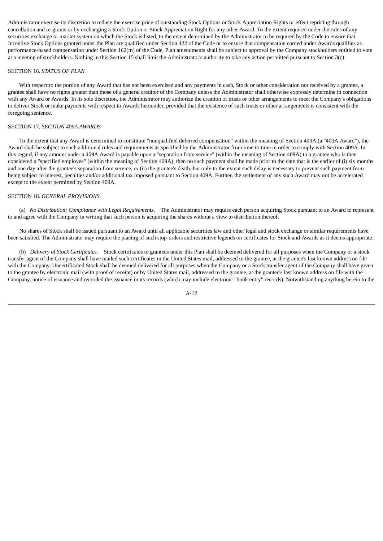Administrator exercise its discretion to reduce the exercise price of outstanding Stock Options or Stock Appreciation Rights or effect repricing through cancellation and re-grants or by exchanging a Stock Option or Stock Appreciation Right for any other Award. To the extent required under the rules of any securities exchange or market system on which the Stock is listed, to the extent determined by the Administrator to be required by the Code to ensure that Incentive Stock Options granted under the Plan are qualified under Section 422 of the Code or to ensure that compensation earned under Awards qualifies as performance-based compensation under Section 162(m) of the Code, Plan amendments shall be subject to approval by the Company stockholders entitled to vote at a meeting of stockholders. Nothing in this Section 15 shall limit the Administrator's authority to take any action permitted pursuant to Section 3(c).

#### SECTION 16. *STATUS OF PLAN*

 With respect to the portion of any Award that has not been exercised and any payments in cash, Stock or other consideration not received by a grantee, a grantee shall have no rights greater than those of a general creditor of the Company unless the Administrator shall otherwise expressly determine in connection with any Award or Awards. In its sole discretion, the Administrator may authorize the creation of trusts or other arrangements to meet the Company's obligations to deliver Stock or make payments with respect to Awards hereunder, provided that the existence of such trusts or other arrangements is consistent with the foregoing sentence.

## SECTION 17. *SECTION 409A AWARDS*

 To the extent that any Award is determined to constitute "nonqualified deferred compensation" within the meaning of Section 409A (a "409A Award"), the Award shall be subject to such additional rules and requirements as specified by the Administrator from time to time in order to comply with Section 409A. In this regard, if any amount under a 409A Award is payable upon a "separation from service" (within the meaning of Section 409A) to a grantee who is then considered a "specified employee" (within the meaning of Section 409A), then no such payment shall be made prior to the date that is the earlier of (i) six months and one day after the grantee's separation from service, or (ii) the grantee's death, but only to the extent such delay is necessary to prevent such payment from being subject to interest, penalties and/or additional tax imposed pursuant to Section 409A. Further, the settlement of any such Award may not be accelerated except to the extent permitted by Section 409A.

#### SECTION 18. *GENERAL PROVISIONS*

 (a) *No Distribution; Compliance with Legal Requirements.* The Administrator may require each person acquiring Stock pursuant to an Award to represent to and agree with the Company in writing that such person is acquiring the shares without a view to distribution thereof.

 No shares of Stock shall be issued pursuant to an Award until all applicable securities law and other legal and stock exchange or similar requirements have been satisfied. The Administrator may require the placing of such stop-orders and restrictive legends on certificates for Stock and Awards as it deems appropriate.

 (b) *Delivery of Stock Certificates.* Stock certificates to grantees under this Plan shall be deemed delivered for all purposes when the Company or a stock transfer agent of the Company shall have mailed such certificates in the United States mail, addressed to the grantee, at the grantee's last known address on file with the Company. Uncertificated Stock shall be deemed delivered for all purposes when the Company or a Stock transfer agent of the Company shall have given to the grantee by electronic mail (with proof of receipt) or by United States mail, addressed to the grantee, at the grantee's last known address on file with the Company, notice of issuance and recorded the issuance in its records (which may include electronic "book entry" records). Notwithstanding anything herein to the

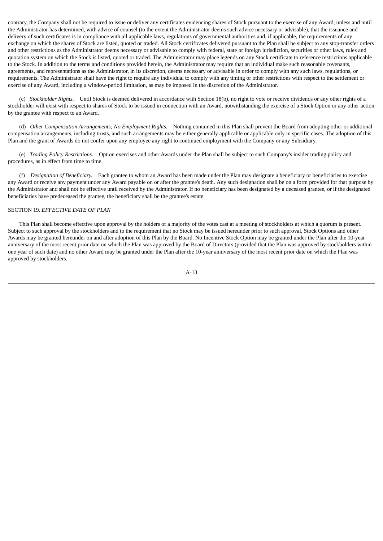contrary, the Company shall not be required to issue or deliver any certificates evidencing shares of Stock pursuant to the exercise of any Award, unless and until the Administrator has determined, with advice of counsel (to the extent the Administrator deems such advice necessary or advisable), that the issuance and delivery of such certificates is in compliance with all applicable laws, regulations of governmental authorities and, if applicable, the requirements of any exchange on which the shares of Stock are listed, quoted or traded. All Stock certificates delivered pursuant to the Plan shall be subject to any stop-transfer orders and other restrictions as the Administrator deems necessary or advisable to comply with federal, state or foreign jurisdiction, securities or other laws, rules and quotation system on which the Stock is listed, quoted or traded. The Administrator may place legends on any Stock certificate to reference restrictions applicable to the Stock. In addition to the terms and conditions provided herein, the Administrator may require that an individual make such reasonable covenants, agreements, and representations as the Administrator, in its discretion, deems necessary or advisable in order to comply with any such laws, regulations, or requirements. The Administrator shall have the right to require any individual to comply with any timing or other restrictions with respect to the settlement or exercise of any Award, including a window-period limitation, as may be imposed in the discretion of the Administrator.

 (c) *Stockholder Rights.* Until Stock is deemed delivered in accordance with Section 18(b), no right to vote or receive dividends or any other rights of a stockholder will exist with respect to shares of Stock to be issued in connection with an Award, notwithstanding the exercise of a Stock Option or any other action by the grantee with respect to an Award.

 (d) *Other Compensation Arrangements; No Employment Rights.* Nothing contained in this Plan shall prevent the Board from adopting other or additional compensation arrangements, including trusts, and such arrangements may be either generally applicable or applicable only in specific cases. The adoption of this Plan and the grant of Awards do not confer upon any employee any right to continued employment with the Company or any Subsidiary.

 (e) *Trading Policy Restrictions.* Option exercises and other Awards under the Plan shall be subject to such Company's insider trading policy and procedures, as in effect from time to time.

 (f) *Designation of Beneficiary.* Each grantee to whom an Award has been made under the Plan may designate a beneficiary or beneficiaries to exercise any Award or receive any payment under any Award payable on or after the grantee's death. Any such designation shall be on a form provided for that purpose by the Administrator and shall not be effective until received by the Administrator. If no beneficiary has been designated by a deceased grantee, or if the designated beneficiaries have predeceased the grantee, the beneficiary shall be the grantee's estate.

## SECTION 19. *EFFECTIVE DATE OF PLAN*

 This Plan shall become effective upon approval by the holders of a majority of the votes cast at a meeting of stockholders at which a quorum is present. Subject to such approval by the stockholders and to the requirement that no Stock may be issued hereunder prior to such approval, Stock Options and other Awards may be granted hereunder on and after adoption of this Plan by the Board. No Incentive Stock Option may be granted under the Plan after the 10-year anniversary of the most recent prior date on which the Plan was approved by the Board of Directors (provided that the Plan was approved by stockholders within one year of such date) and no other Award may be granted under the Plan after the 10-year anniversary of the most recent prior date on which the Plan was approved by stockholders.

$$
A-13
$$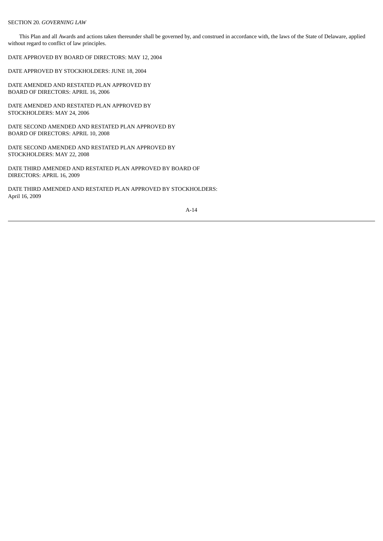## SECTION 20. *GOVERNING LAW*

 This Plan and all Awards and actions taken thereunder shall be governed by, and construed in accordance with, the laws of the State of Delaware, applied without regard to conflict of law principles.

DATE APPROVED BY BOARD OF DIRECTORS: MAY 12, 2004

DATE APPROVED BY STOCKHOLDERS: JUNE 18, 2004

DATE AMENDED AND RESTATED PLAN APPROVED BY BOARD OF DIRECTORS: APRIL 16, 2006

DATE AMENDED AND RESTATED PLAN APPROVED BY STOCKHOLDERS: MAY 24, 2006

DATE SECOND AMENDED AND RESTATED PLAN APPROVED BY BOARD OF DIRECTORS: APRIL 10, 2008

DATE SECOND AMENDED AND RESTATED PLAN APPROVED BY STOCKHOLDERS: MAY 22, 2008

DATE THIRD AMENDED AND RESTATED PLAN APPROVED BY BOARD OF DIRECTORS: APRIL 16, 2009

DATE THIRD AMENDED AND RESTATED PLAN APPROVED BY STOCKHOLDERS: April 16, 2009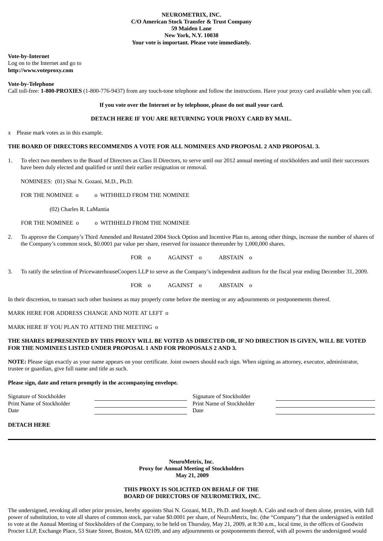**Vote-by-Internet**

Log on to the Internet and go to **http://www.voteproxy.com**

**Vote-by-Telephone**

Call toll-free: **1-800-PROXIES** (1-800-776-9437) from any touch-tone telephone and follow the instructions. Have your proxy card available when you call.

## **If you vote over the Internet or by telephone, please do not mail your card.**

# **DETACH HERE IF YOU ARE RETURNING YOUR PROXY CARD BY MAIL.**

x Please mark votes as in this example.

# **THE BOARD OF DIRECTORS RECOMMENDS A VOTE FOR ALL NOMINEES AND PROPOSAL 2 AND PROPOSAL 3.**

1. To elect two members to the Board of Directors as Class II Directors, to serve until our 2012 annual meeting of stockholders and until their successors have been duly elected and qualified or until their earlier resignation or removal.

NOMINEES: (01) Shai N. Gozani, M.D., Ph.D.

FOR THE NOMINEE  $\Omega$  o WITHHELD FROM THE NOMINEE

(02) Charles R. LaMantia

FOR THE NOMINEE  $\Omega$  o WITHHELD FROM THE NOMINEE

2. To approve the Company's Third Amended and Restated 2004 Stock Option and Incentive Plan to, among other things, increase the number of shares of the Company's common stock, \$0.0001 par value per share, reserved for issuance thereunder by 1,000,000 shares.

FOR o AGAINST o ABSTAIN o

3. To ratify the selection of PricewaterhouseCoopers LLP to serve as the Company's independent auditors for the fiscal year ending December 31, 2009.

FOR o AGAINST o ABSTAIN o

In their discretion, to transact such other business as may properly come before the meeting or any adjournments or postponements thereof.

MARK HERE FOR ADDRESS CHANGE AND NOTE AT LEFT o

MARK HERE IF YOU PLAN TO ATTEND THE MEETING o

## THE SHARES REPRESENTED BY THIS PROXY WILL BE VOTED AS DIRECTED OR, IF NO DIRECTION IS GIVEN, WILL BE VOTED **FOR THE NOMINEES LISTED UNDER PROPOSAL 1 AND FOR PROPOSALS 2 AND 3.**

**NOTE:** Please sign exactly as your name appears on your certificate. Joint owners should each sign. When signing as attorney, executor, administrator, trustee or guardian, give full name and title as such.

## **Please sign, date and return promptly in the accompanying envelope.**

Signature of Stockholder Signature of Stockholder Signature of Stockholder Print Name of Stockholder **Print Name of Stockholder** Print Name of Stockholder Date **Date Date Date Date Date Date** 

**DETACH HERE**

**NeuroMetrix, Inc. Proxy for Annual Meeting of Stockholders May 21, 2009**

# **THIS PROXY IS SOLICITED ON BEHALF OF THE BOARD OF DIRECTORS OF NEUROMETRIX, INC.**

The undersigned, revoking all other prior proxies, hereby appoints Shai N. Gozani, M.D., Ph.D. and Joseph A. Calo and each of them alone, proxies, with full power of substitution, to vote all shares of common stock, par value \$0.0001 per share, of NeuroMetrix, Inc. (the "Company") that the undersigned is entitled to vote at the Annual Meeting of Stockholders of the Company, to be held on Thursday, May 21, 2009, at 8:30 a.m., local time, in the offices of Goodwin Procter LLP, Exchange Place, 53 State Street, Boston, MA 02109, and any adjournments or postponements thereof, with all powers the undersigned would